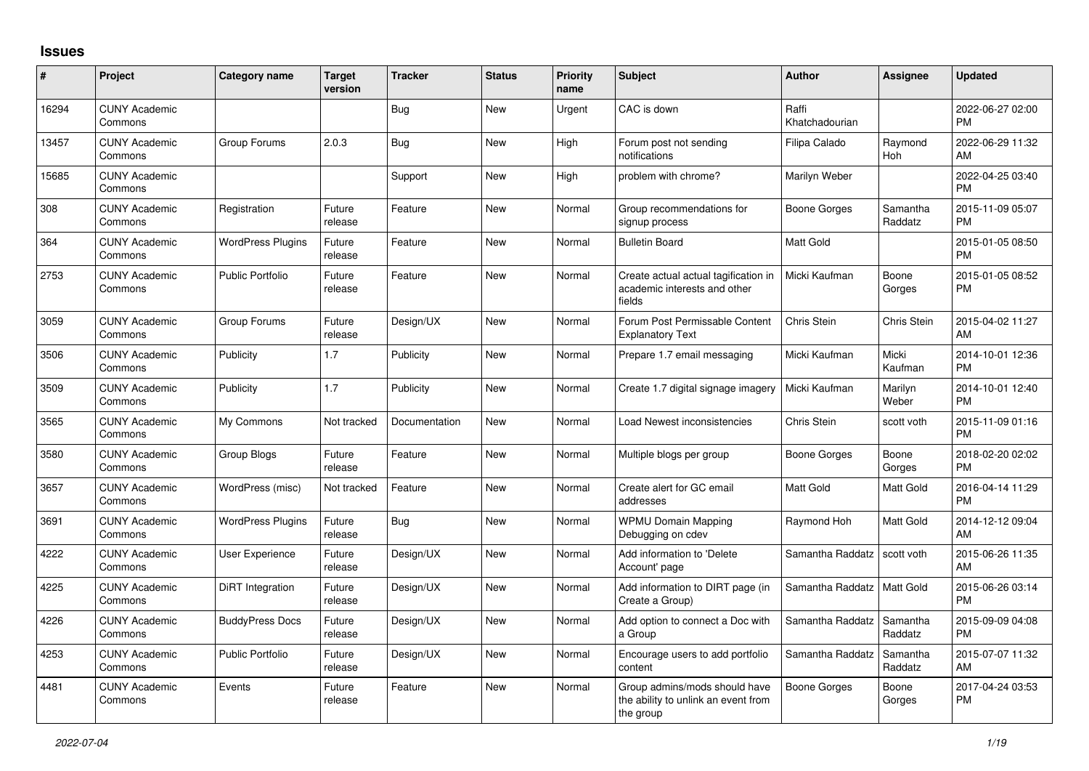## **Issues**

| #     | Project                         | <b>Category name</b>     | <b>Target</b><br>version | <b>Tracker</b> | <b>Status</b> | <b>Priority</b><br>name | <b>Subject</b>                                                                    | <b>Author</b>           | <b>Assignee</b>     | <b>Updated</b>                |
|-------|---------------------------------|--------------------------|--------------------------|----------------|---------------|-------------------------|-----------------------------------------------------------------------------------|-------------------------|---------------------|-------------------------------|
| 16294 | <b>CUNY Academic</b><br>Commons |                          |                          | Bug            | New           | Urgent                  | CAC is down                                                                       | Raffi<br>Khatchadourian |                     | 2022-06-27 02:00<br><b>PM</b> |
| 13457 | <b>CUNY Academic</b><br>Commons | Group Forums             | 2.0.3                    | <b>Bug</b>     | New           | High                    | Forum post not sending<br>notifications                                           | Filipa Calado           | Raymond<br>Hoh      | 2022-06-29 11:32<br>AM        |
| 15685 | <b>CUNY Academic</b><br>Commons |                          |                          | Support        | New           | High                    | problem with chrome?                                                              | Marilyn Weber           |                     | 2022-04-25 03:40<br><b>PM</b> |
| 308   | <b>CUNY Academic</b><br>Commons | Registration             | Future<br>release        | Feature        | New           | Normal                  | Group recommendations for<br>signup process                                       | Boone Gorges            | Samantha<br>Raddatz | 2015-11-09 05:07<br><b>PM</b> |
| 364   | <b>CUNY Academic</b><br>Commons | <b>WordPress Plugins</b> | Future<br>release        | Feature        | New           | Normal                  | <b>Bulletin Board</b>                                                             | <b>Matt Gold</b>        |                     | 2015-01-05 08:50<br><b>PM</b> |
| 2753  | <b>CUNY Academic</b><br>Commons | <b>Public Portfolio</b>  | Future<br>release        | Feature        | <b>New</b>    | Normal                  | Create actual actual tagification in<br>academic interests and other<br>fields    | Micki Kaufman           | Boone<br>Gorges     | 2015-01-05 08:52<br><b>PM</b> |
| 3059  | <b>CUNY Academic</b><br>Commons | Group Forums             | Future<br>release        | Design/UX      | <b>New</b>    | Normal                  | Forum Post Permissable Content<br><b>Explanatory Text</b>                         | Chris Stein             | Chris Stein         | 2015-04-02 11:27<br>AM        |
| 3506  | <b>CUNY Academic</b><br>Commons | Publicity                | 1.7                      | Publicity      | <b>New</b>    | Normal                  | Prepare 1.7 email messaging                                                       | Micki Kaufman           | Micki<br>Kaufman    | 2014-10-01 12:36<br><b>PM</b> |
| 3509  | <b>CUNY Academic</b><br>Commons | Publicity                | 1.7                      | Publicity      | <b>New</b>    | Normal                  | Create 1.7 digital signage imagery                                                | Micki Kaufman           | Marilyn<br>Weber    | 2014-10-01 12:40<br><b>PM</b> |
| 3565  | <b>CUNY Academic</b><br>Commons | My Commons               | Not tracked              | Documentation  | New           | Normal                  | Load Newest inconsistencies                                                       | Chris Stein             | scott voth          | 2015-11-09 01:16<br><b>PM</b> |
| 3580  | <b>CUNY Academic</b><br>Commons | <b>Group Blogs</b>       | Future<br>release        | Feature        | <b>New</b>    | Normal                  | Multiple blogs per group                                                          | Boone Gorges            | Boone<br>Gorges     | 2018-02-20 02:02<br><b>PM</b> |
| 3657  | <b>CUNY Academic</b><br>Commons | WordPress (misc)         | Not tracked              | Feature        | <b>New</b>    | Normal                  | Create alert for GC email<br>addresses                                            | Matt Gold               | Matt Gold           | 2016-04-14 11:29<br><b>PM</b> |
| 3691  | <b>CUNY Academic</b><br>Commons | <b>WordPress Plugins</b> | Future<br>release        | Bug            | <b>New</b>    | Normal                  | <b>WPMU Domain Mapping</b><br>Debugging on cdev                                   | Raymond Hoh             | Matt Gold           | 2014-12-12 09:04<br>AM        |
| 4222  | <b>CUNY Academic</b><br>Commons | User Experience          | Future<br>release        | Design/UX      | <b>New</b>    | Normal                  | Add information to 'Delete<br>Account' page                                       | Samantha Raddatz        | scott voth          | 2015-06-26 11:35<br>AM        |
| 4225  | <b>CUNY Academic</b><br>Commons | DiRT Integration         | Future<br>release        | Design/UX      | New           | Normal                  | Add information to DIRT page (in<br>Create a Group)                               | Samantha Raddatz        | Matt Gold           | 2015-06-26 03:14<br><b>PM</b> |
| 4226  | <b>CUNY Academic</b><br>Commons | <b>BuddyPress Docs</b>   | Future<br>release        | Design/UX      | <b>New</b>    | Normal                  | Add option to connect a Doc with<br>a Group                                       | Samantha Raddatz        | Samantha<br>Raddatz | 2015-09-09 04:08<br><b>PM</b> |
| 4253  | <b>CUNY Academic</b><br>Commons | <b>Public Portfolio</b>  | Future<br>release        | Design/UX      | <b>New</b>    | Normal                  | Encourage users to add portfolio<br>content                                       | Samantha Raddatz        | Samantha<br>Raddatz | 2015-07-07 11:32<br>AM        |
| 4481  | <b>CUNY Academic</b><br>Commons | Events                   | Future<br>release        | Feature        | <b>New</b>    | Normal                  | Group admins/mods should have<br>the ability to unlink an event from<br>the group | Boone Gorges            | Boone<br>Gorges     | 2017-04-24 03:53<br><b>PM</b> |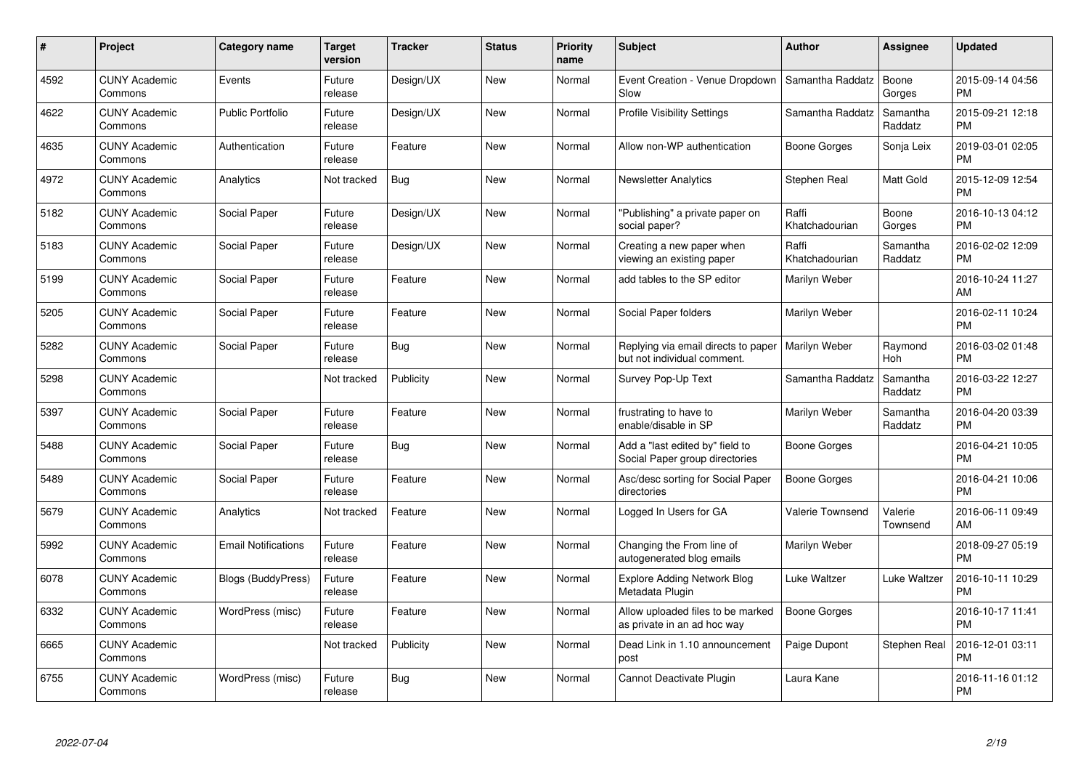| $\pmb{\#}$ | Project                         | <b>Category name</b>       | <b>Target</b><br>version | <b>Tracker</b> | <b>Status</b> | <b>Priority</b><br>name | <b>Subject</b>                                                     | <b>Author</b>           | <b>Assignee</b>     | <b>Updated</b>                |
|------------|---------------------------------|----------------------------|--------------------------|----------------|---------------|-------------------------|--------------------------------------------------------------------|-------------------------|---------------------|-------------------------------|
| 4592       | <b>CUNY Academic</b><br>Commons | Events                     | Future<br>release        | Design/UX      | <b>New</b>    | Normal                  | Event Creation - Venue Dropdown<br>Slow                            | Samantha Raddatz        | Boone<br>Gorges     | 2015-09-14 04:56<br><b>PM</b> |
| 4622       | <b>CUNY Academic</b><br>Commons | <b>Public Portfolio</b>    | Future<br>release        | Design/UX      | <b>New</b>    | Normal                  | <b>Profile Visibility Settings</b>                                 | Samantha Raddatz        | Samantha<br>Raddatz | 2015-09-21 12:18<br><b>PM</b> |
| 4635       | <b>CUNY Academic</b><br>Commons | Authentication             | Future<br>release        | Feature        | <b>New</b>    | Normal                  | Allow non-WP authentication                                        | Boone Gorges            | Sonja Leix          | 2019-03-01 02:05<br><b>PM</b> |
| 4972       | <b>CUNY Academic</b><br>Commons | Analytics                  | Not tracked              | Bug            | <b>New</b>    | Normal                  | <b>Newsletter Analytics</b>                                        | Stephen Real            | Matt Gold           | 2015-12-09 12:54<br><b>PM</b> |
| 5182       | <b>CUNY Academic</b><br>Commons | Social Paper               | Future<br>release        | Design/UX      | <b>New</b>    | Normal                  | "Publishing" a private paper on<br>social paper?                   | Raffi<br>Khatchadourian | Boone<br>Gorges     | 2016-10-13 04:12<br><b>PM</b> |
| 5183       | <b>CUNY Academic</b><br>Commons | Social Paper               | Future<br>release        | Design/UX      | <b>New</b>    | Normal                  | Creating a new paper when<br>viewing an existing paper             | Raffi<br>Khatchadourian | Samantha<br>Raddatz | 2016-02-02 12:09<br><b>PM</b> |
| 5199       | <b>CUNY Academic</b><br>Commons | Social Paper               | Future<br>release        | Feature        | <b>New</b>    | Normal                  | add tables to the SP editor                                        | Marilyn Weber           |                     | 2016-10-24 11:27<br>AM        |
| 5205       | <b>CUNY Academic</b><br>Commons | Social Paper               | Future<br>release        | Feature        | <b>New</b>    | Normal                  | Social Paper folders                                               | Marilyn Weber           |                     | 2016-02-11 10:24<br><b>PM</b> |
| 5282       | <b>CUNY Academic</b><br>Commons | Social Paper               | Future<br>release        | Bug            | New           | Normal                  | Replying via email directs to paper<br>but not individual comment. | Marilyn Weber           | Raymond<br>Hoh      | 2016-03-02 01:48<br><b>PM</b> |
| 5298       | <b>CUNY Academic</b><br>Commons |                            | Not tracked              | Publicity      | <b>New</b>    | Normal                  | Survey Pop-Up Text                                                 | Samantha Raddatz        | Samantha<br>Raddatz | 2016-03-22 12:27<br><b>PM</b> |
| 5397       | <b>CUNY Academic</b><br>Commons | Social Paper               | Future<br>release        | Feature        | New           | Normal                  | frustrating to have to<br>enable/disable in SP                     | Marilyn Weber           | Samantha<br>Raddatz | 2016-04-20 03:39<br><b>PM</b> |
| 5488       | <b>CUNY Academic</b><br>Commons | Social Paper               | Future<br>release        | <b>Bug</b>     | New           | Normal                  | Add a "last edited by" field to<br>Social Paper group directories  | Boone Gorges            |                     | 2016-04-21 10:05<br><b>PM</b> |
| 5489       | <b>CUNY Academic</b><br>Commons | Social Paper               | Future<br>release        | Feature        | New           | Normal                  | Asc/desc sorting for Social Paper<br>directories                   | Boone Gorges            |                     | 2016-04-21 10:06<br><b>PM</b> |
| 5679       | <b>CUNY Academic</b><br>Commons | Analytics                  | Not tracked              | Feature        | New           | Normal                  | Logged In Users for GA                                             | Valerie Townsend        | Valerie<br>Townsend | 2016-06-11 09:49<br>AM        |
| 5992       | <b>CUNY Academic</b><br>Commons | <b>Email Notifications</b> | Future<br>release        | Feature        | New           | Normal                  | Changing the From line of<br>autogenerated blog emails             | Marilyn Weber           |                     | 2018-09-27 05:19<br><b>PM</b> |
| 6078       | <b>CUNY Academic</b><br>Commons | Blogs (BuddyPress)         | Future<br>release        | Feature        | New           | Normal                  | <b>Explore Adding Network Blog</b><br>Metadata Plugin              | Luke Waltzer            | Luke Waltzer        | 2016-10-11 10:29<br><b>PM</b> |
| 6332       | <b>CUNY Academic</b><br>Commons | WordPress (misc)           | Future<br>release        | Feature        | New           | Normal                  | Allow uploaded files to be marked<br>as private in an ad hoc way   | Boone Gorges            |                     | 2016-10-17 11:41<br><b>PM</b> |
| 6665       | <b>CUNY Academic</b><br>Commons |                            | Not tracked              | Publicity      | New           | Normal                  | Dead Link in 1.10 announcement<br>post                             | Paige Dupont            | Stephen Real        | 2016-12-01 03:11<br><b>PM</b> |
| 6755       | <b>CUNY Academic</b><br>Commons | WordPress (misc)           | Future<br>release        | <b>Bug</b>     | <b>New</b>    | Normal                  | Cannot Deactivate Plugin                                           | Laura Kane              |                     | 2016-11-16 01:12<br><b>PM</b> |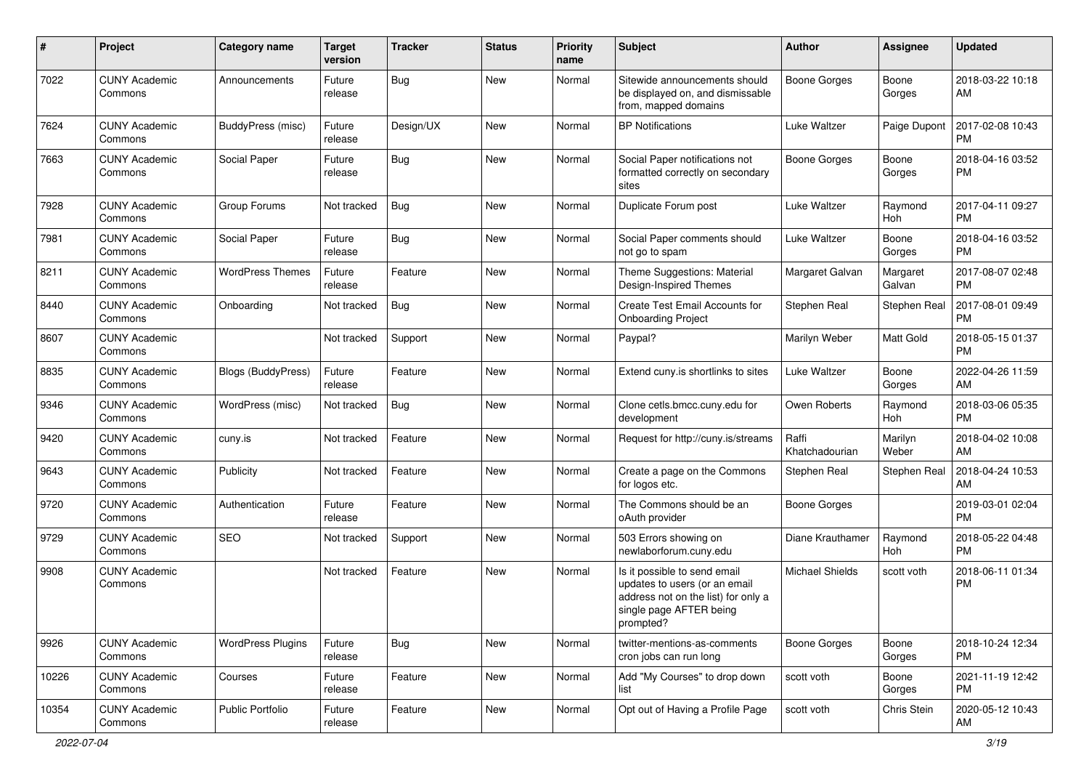| #     | Project                         | Category name            | <b>Target</b><br>version | Tracker    | <b>Status</b> | <b>Priority</b><br>name | Subject                                                                                                                                      | Author                  | <b>Assignee</b>    | <b>Updated</b>                |
|-------|---------------------------------|--------------------------|--------------------------|------------|---------------|-------------------------|----------------------------------------------------------------------------------------------------------------------------------------------|-------------------------|--------------------|-------------------------------|
| 7022  | <b>CUNY Academic</b><br>Commons | Announcements            | Future<br>release        | <b>Bug</b> | <b>New</b>    | Normal                  | Sitewide announcements should<br>be displayed on, and dismissable<br>from, mapped domains                                                    | <b>Boone Gorges</b>     | Boone<br>Gorges    | 2018-03-22 10:18<br>AM        |
| 7624  | <b>CUNY Academic</b><br>Commons | <b>BuddyPress (misc)</b> | Future<br>release        | Design/UX  | <b>New</b>    | Normal                  | <b>BP</b> Notifications                                                                                                                      | Luke Waltzer            | Paige Dupont       | 2017-02-08 10:43<br><b>PM</b> |
| 7663  | <b>CUNY Academic</b><br>Commons | Social Paper             | Future<br>release        | Bug        | New           | Normal                  | Social Paper notifications not<br>formatted correctly on secondary<br>sites                                                                  | <b>Boone Gorges</b>     | Boone<br>Gorges    | 2018-04-16 03:52<br><b>PM</b> |
| 7928  | <b>CUNY Academic</b><br>Commons | Group Forums             | Not tracked              | Bug        | New           | Normal                  | Duplicate Forum post                                                                                                                         | Luke Waltzer            | Raymond<br>Hoh     | 2017-04-11 09:27<br><b>PM</b> |
| 7981  | <b>CUNY Academic</b><br>Commons | Social Paper             | Future<br>release        | Bug        | <b>New</b>    | Normal                  | Social Paper comments should<br>not go to spam                                                                                               | Luke Waltzer            | Boone<br>Gorges    | 2018-04-16 03:52<br><b>PM</b> |
| 8211  | <b>CUNY Academic</b><br>Commons | <b>WordPress Themes</b>  | Future<br>release        | Feature    | <b>New</b>    | Normal                  | Theme Suggestions: Material<br>Design-Inspired Themes                                                                                        | Margaret Galvan         | Margaret<br>Galvan | 2017-08-07 02:48<br><b>PM</b> |
| 8440  | <b>CUNY Academic</b><br>Commons | Onboarding               | Not tracked              | Bug        | <b>New</b>    | Normal                  | Create Test Email Accounts for<br><b>Onboarding Project</b>                                                                                  | Stephen Real            | Stephen Real       | 2017-08-01 09:49<br><b>PM</b> |
| 8607  | <b>CUNY Academic</b><br>Commons |                          | Not tracked              | Support    | <b>New</b>    | Normal                  | Paypal?                                                                                                                                      | Marilyn Weber           | Matt Gold          | 2018-05-15 01:37<br><b>PM</b> |
| 8835  | <b>CUNY Academic</b><br>Commons | Blogs (BuddyPress)       | Future<br>release        | Feature    | <b>New</b>    | Normal                  | Extend cuny is shortlinks to sites                                                                                                           | Luke Waltzer            | Boone<br>Gorges    | 2022-04-26 11:59<br>AM        |
| 9346  | <b>CUNY Academic</b><br>Commons | WordPress (misc)         | Not tracked              | Bug        | <b>New</b>    | Normal                  | Clone cetls.bmcc.cuny.edu for<br>development                                                                                                 | Owen Roberts            | Raymond<br>Hoh     | 2018-03-06 05:35<br><b>PM</b> |
| 9420  | <b>CUNY Academic</b><br>Commons | cuny.is                  | Not tracked              | Feature    | <b>New</b>    | Normal                  | Request for http://cuny.is/streams                                                                                                           | Raffi<br>Khatchadourian | Marilyn<br>Weber   | 2018-04-02 10:08<br>AM        |
| 9643  | <b>CUNY Academic</b><br>Commons | Publicity                | Not tracked              | Feature    | <b>New</b>    | Normal                  | Create a page on the Commons<br>for logos etc.                                                                                               | Stephen Real            | Stephen Real       | 2018-04-24 10:53<br>AM        |
| 9720  | <b>CUNY Academic</b><br>Commons | Authentication           | Future<br>release        | Feature    | <b>New</b>    | Normal                  | The Commons should be an<br>oAuth provider                                                                                                   | <b>Boone Gorges</b>     |                    | 2019-03-01 02:04<br><b>PM</b> |
| 9729  | <b>CUNY Academic</b><br>Commons | <b>SEO</b>               | Not tracked              | Support    | New           | Normal                  | 503 Errors showing on<br>newlaborforum.cuny.edu                                                                                              | Diane Krauthamer        | Raymond<br>Hoh     | 2018-05-22 04:48<br><b>PM</b> |
| 9908  | <b>CUNY Academic</b><br>Commons |                          | Not tracked              | Feature    | New           | Normal                  | Is it possible to send email<br>updates to users (or an email<br>address not on the list) for only a<br>single page AFTER being<br>prompted? | <b>Michael Shields</b>  | scott voth         | 2018-06-11 01:34<br><b>PM</b> |
| 9926  | <b>CUNY Academic</b><br>Commons | <b>WordPress Plugins</b> | Future<br>release        | <b>Bug</b> | New           | Normal                  | twitter-mentions-as-comments<br>cron jobs can run long                                                                                       | Boone Gorges            | Boone<br>Gorges    | 2018-10-24 12:34<br><b>PM</b> |
| 10226 | <b>CUNY Academic</b><br>Commons | Courses                  | Future<br>release        | Feature    | New           | Normal                  | Add "My Courses" to drop down<br>list                                                                                                        | scott voth              | Boone<br>Gorges    | 2021-11-19 12:42<br><b>PM</b> |
| 10354 | <b>CUNY Academic</b><br>Commons | Public Portfolio         | Future<br>release        | Feature    | New           | Normal                  | Opt out of Having a Profile Page                                                                                                             | scott voth              | Chris Stein        | 2020-05-12 10:43<br>AM        |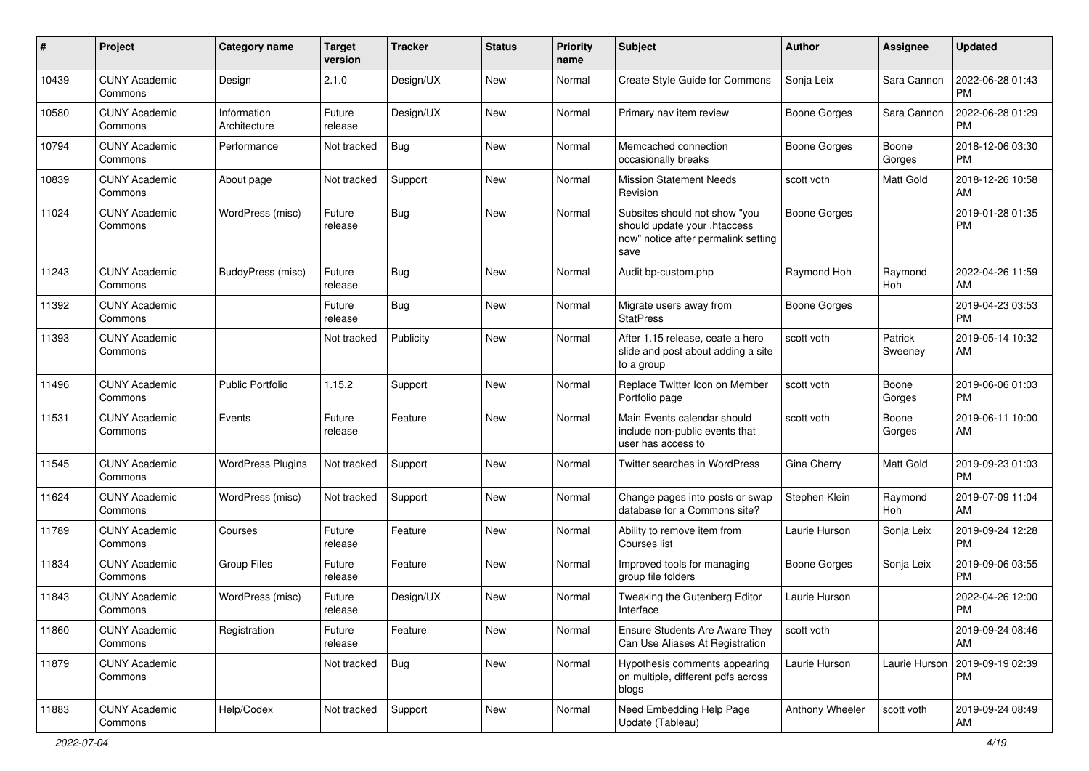| #     | Project                         | Category name               | <b>Target</b><br>version | <b>Tracker</b> | <b>Status</b> | Priority<br>name | <b>Subject</b>                                                                                               | Author              | <b>Assignee</b>    | <b>Updated</b>                |
|-------|---------------------------------|-----------------------------|--------------------------|----------------|---------------|------------------|--------------------------------------------------------------------------------------------------------------|---------------------|--------------------|-------------------------------|
| 10439 | <b>CUNY Academic</b><br>Commons | Design                      | 2.1.0                    | Design/UX      | <b>New</b>    | Normal           | Create Style Guide for Commons                                                                               | Sonja Leix          | Sara Cannon        | 2022-06-28 01:43<br>PM        |
| 10580 | <b>CUNY Academic</b><br>Commons | Information<br>Architecture | Future<br>release        | Design/UX      | New           | Normal           | Primary nav item review                                                                                      | Boone Gorges        | Sara Cannon        | 2022-06-28 01:29<br><b>PM</b> |
| 10794 | <b>CUNY Academic</b><br>Commons | Performance                 | Not tracked              | Bug            | New           | Normal           | Memcached connection<br>occasionally breaks                                                                  | Boone Gorges        | Boone<br>Gorges    | 2018-12-06 03:30<br><b>PM</b> |
| 10839 | <b>CUNY Academic</b><br>Commons | About page                  | Not tracked              | Support        | <b>New</b>    | Normal           | <b>Mission Statement Needs</b><br>Revision                                                                   | scott voth          | <b>Matt Gold</b>   | 2018-12-26 10:58<br>AM        |
| 11024 | <b>CUNY Academic</b><br>Commons | WordPress (misc)            | Future<br>release        | Bug            | <b>New</b>    | Normal           | Subsites should not show "you<br>should update your .htaccess<br>now" notice after permalink setting<br>save | Boone Gorges        |                    | 2019-01-28 01:35<br><b>PM</b> |
| 11243 | <b>CUNY Academic</b><br>Commons | BuddyPress (misc)           | Future<br>release        | Bug            | New           | Normal           | Audit bp-custom.php                                                                                          | Raymond Hoh         | Raymond<br>Hoh     | 2022-04-26 11:59<br>AM        |
| 11392 | <b>CUNY Academic</b><br>Commons |                             | Future<br>release        | Bug            | <b>New</b>    | Normal           | Migrate users away from<br><b>StatPress</b>                                                                  | Boone Gorges        |                    | 2019-04-23 03:53<br><b>PM</b> |
| 11393 | <b>CUNY Academic</b><br>Commons |                             | Not tracked              | Publicity      | New           | Normal           | After 1.15 release, ceate a hero<br>slide and post about adding a site<br>to a group                         | scott voth          | Patrick<br>Sweeney | 2019-05-14 10:32<br>AM        |
| 11496 | <b>CUNY Academic</b><br>Commons | Public Portfolio            | 1.15.2                   | Support        | New           | Normal           | Replace Twitter Icon on Member<br>Portfolio page                                                             | scott voth          | Boone<br>Gorges    | 2019-06-06 01:03<br><b>PM</b> |
| 11531 | <b>CUNY Academic</b><br>Commons | Events                      | Future<br>release        | Feature        | New           | Normal           | Main Events calendar should<br>include non-public events that<br>user has access to                          | scott voth          | Boone<br>Gorges    | 2019-06-11 10:00<br>AM        |
| 11545 | <b>CUNY Academic</b><br>Commons | <b>WordPress Plugins</b>    | Not tracked              | Support        | <b>New</b>    | Normal           | <b>Twitter searches in WordPress</b>                                                                         | Gina Cherry         | <b>Matt Gold</b>   | 2019-09-23 01:03<br><b>PM</b> |
| 11624 | <b>CUNY Academic</b><br>Commons | WordPress (misc)            | Not tracked              | Support        | <b>New</b>    | Normal           | Change pages into posts or swap<br>database for a Commons site?                                              | Stephen Klein       | Raymond<br>Hoh     | 2019-07-09 11:04<br>AM        |
| 11789 | <b>CUNY Academic</b><br>Commons | Courses                     | Future<br>release        | Feature        | <b>New</b>    | Normal           | Ability to remove item from<br>Courses list                                                                  | Laurie Hurson       | Sonja Leix         | 2019-09-24 12:28<br><b>PM</b> |
| 11834 | <b>CUNY Academic</b><br>Commons | <b>Group Files</b>          | Future<br>release        | Feature        | New           | Normal           | Improved tools for managing<br>group file folders                                                            | <b>Boone Gorges</b> | Sonja Leix         | 2019-09-06 03:55<br><b>PM</b> |
| 11843 | <b>CUNY Academic</b><br>Commons | WordPress (misc)            | Future<br>release        | Design/UX      | <b>New</b>    | Normal           | Tweaking the Gutenberg Editor<br>Interface                                                                   | Laurie Hurson       |                    | 2022-04-26 12:00<br><b>PM</b> |
| 11860 | <b>CUNY Academic</b><br>Commons | Registration                | Future<br>release        | Feature        | New           | Normal           | Ensure Students Are Aware They<br>Can Use Aliases At Registration                                            | scott voth          |                    | 2019-09-24 08:46<br>AM        |
| 11879 | <b>CUNY Academic</b><br>Commons |                             | Not tracked              | <b>Bug</b>     | <b>New</b>    | Normal           | Hypothesis comments appearing<br>on multiple, different pdfs across<br>blogs                                 | Laurie Hurson       | Laurie Hurson      | 2019-09-19 02:39<br>PM        |
| 11883 | <b>CUNY Academic</b><br>Commons | Help/Codex                  | Not tracked              | Support        | New           | Normal           | Need Embedding Help Page<br>Update (Tableau)                                                                 | Anthony Wheeler     | scott voth         | 2019-09-24 08:49<br>AM        |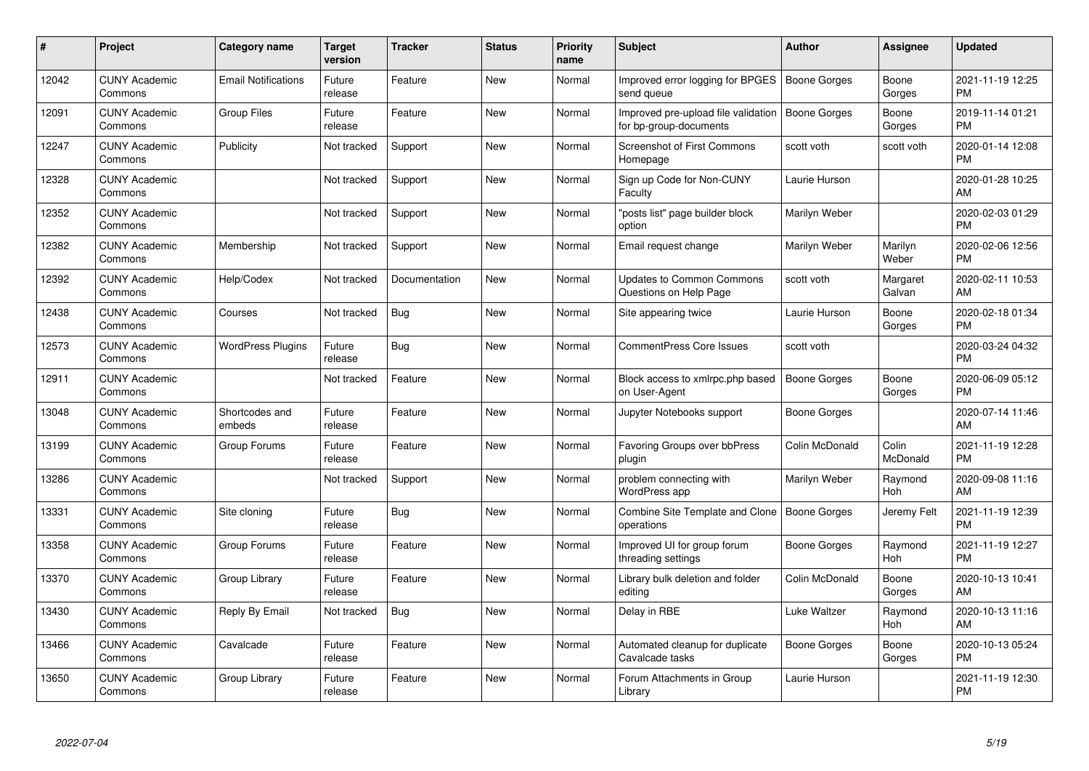| #     | <b>Project</b>                  | Category name              | <b>Target</b><br>version | <b>Tracker</b> | <b>Status</b> | <b>Priority</b><br>name | <b>Subject</b>                                                | <b>Author</b>       | Assignee           | <b>Updated</b>                |
|-------|---------------------------------|----------------------------|--------------------------|----------------|---------------|-------------------------|---------------------------------------------------------------|---------------------|--------------------|-------------------------------|
| 12042 | <b>CUNY Academic</b><br>Commons | <b>Email Notifications</b> | Future<br>release        | Feature        | <b>New</b>    | Normal                  | Improved error logging for BPGES<br>send queue                | Boone Gorges        | Boone<br>Gorges    | 2021-11-19 12:25<br><b>PM</b> |
| 12091 | <b>CUNY Academic</b><br>Commons | <b>Group Files</b>         | Future<br>release        | Feature        | New           | Normal                  | Improved pre-upload file validation<br>for bp-group-documents | Boone Gorges        | Boone<br>Gorges    | 2019-11-14 01:21<br><b>PM</b> |
| 12247 | <b>CUNY Academic</b><br>Commons | Publicity                  | Not tracked              | Support        | <b>New</b>    | Normal                  | <b>Screenshot of First Commons</b><br>Homepage                | scott voth          | scott voth         | 2020-01-14 12:08<br><b>PM</b> |
| 12328 | <b>CUNY Academic</b><br>Commons |                            | Not tracked              | Support        | New           | Normal                  | Sign up Code for Non-CUNY<br>Faculty                          | Laurie Hurson       |                    | 2020-01-28 10:25<br>AM        |
| 12352 | <b>CUNY Academic</b><br>Commons |                            | Not tracked              | Support        | <b>New</b>    | Normal                  | "posts list" page builder block<br>option                     | Marilyn Weber       |                    | 2020-02-03 01:29<br><b>PM</b> |
| 12382 | <b>CUNY Academic</b><br>Commons | Membership                 | Not tracked              | Support        | <b>New</b>    | Normal                  | Email request change                                          | Marilyn Weber       | Marilyn<br>Weber   | 2020-02-06 12:56<br><b>PM</b> |
| 12392 | <b>CUNY Academic</b><br>Commons | Help/Codex                 | Not tracked              | Documentation  | <b>New</b>    | Normal                  | <b>Updates to Common Commons</b><br>Questions on Help Page    | scott voth          | Margaret<br>Galvan | 2020-02-11 10:53<br>AM        |
| 12438 | <b>CUNY Academic</b><br>Commons | Courses                    | Not tracked              | Bug            | <b>New</b>    | Normal                  | Site appearing twice                                          | Laurie Hurson       | Boone<br>Gorges    | 2020-02-18 01:34<br><b>PM</b> |
| 12573 | <b>CUNY Academic</b><br>Commons | <b>WordPress Plugins</b>   | Future<br>release        | Bug            | <b>New</b>    | Normal                  | <b>CommentPress Core Issues</b>                               | scott voth          |                    | 2020-03-24 04:32<br><b>PM</b> |
| 12911 | <b>CUNY Academic</b><br>Commons |                            | Not tracked              | Feature        | <b>New</b>    | Normal                  | Block access to xmlrpc.php based<br>on User-Agent             | <b>Boone Gorges</b> | Boone<br>Gorges    | 2020-06-09 05:12<br><b>PM</b> |
| 13048 | <b>CUNY Academic</b><br>Commons | Shortcodes and<br>embeds   | Future<br>release        | Feature        | <b>New</b>    | Normal                  | Jupyter Notebooks support                                     | Boone Gorges        |                    | 2020-07-14 11:46<br>AM        |
| 13199 | <b>CUNY Academic</b><br>Commons | Group Forums               | Future<br>release        | Feature        | <b>New</b>    | Normal                  | Favoring Groups over bbPress<br>plugin                        | Colin McDonald      | Colin<br>McDonald  | 2021-11-19 12:28<br><b>PM</b> |
| 13286 | <b>CUNY Academic</b><br>Commons |                            | Not tracked              | Support        | New           | Normal                  | problem connecting with<br>WordPress app                      | Marilyn Weber       | Raymond<br>Hoh     | 2020-09-08 11:16<br>AM        |
| 13331 | <b>CUNY Academic</b><br>Commons | Site cloning               | Future<br>release        | Bug            | New           | Normal                  | Combine Site Template and Clone<br>operations                 | Boone Gorges        | Jeremy Felt        | 2021-11-19 12:39<br><b>PM</b> |
| 13358 | <b>CUNY Academic</b><br>Commons | Group Forums               | Future<br>release        | Feature        | New           | Normal                  | Improved UI for group forum<br>threading settings             | Boone Gorges        | Raymond<br>Hoh     | 2021-11-19 12:27<br><b>PM</b> |
| 13370 | <b>CUNY Academic</b><br>Commons | Group Library              | Future<br>release        | Feature        | New           | Normal                  | Library bulk deletion and folder<br>editing                   | Colin McDonald      | Boone<br>Gorges    | 2020-10-13 10:41<br>AM        |
| 13430 | <b>CUNY Academic</b><br>Commons | Reply By Email             | Not tracked              | <b>Bug</b>     | New           | Normal                  | Delay in RBE                                                  | Luke Waltzer        | Raymond<br>Hoh     | 2020-10-13 11:16<br>AM        |
| 13466 | <b>CUNY Academic</b><br>Commons | Cavalcade                  | Future<br>release        | Feature        | New           | Normal                  | Automated cleanup for duplicate<br>Cavalcade tasks            | Boone Gorges        | Boone<br>Gorges    | 2020-10-13 05:24<br><b>PM</b> |
| 13650 | <b>CUNY Academic</b><br>Commons | Group Library              | Future<br>release        | Feature        | <b>New</b>    | Normal                  | Forum Attachments in Group<br>Library                         | Laurie Hurson       |                    | 2021-11-19 12:30<br><b>PM</b> |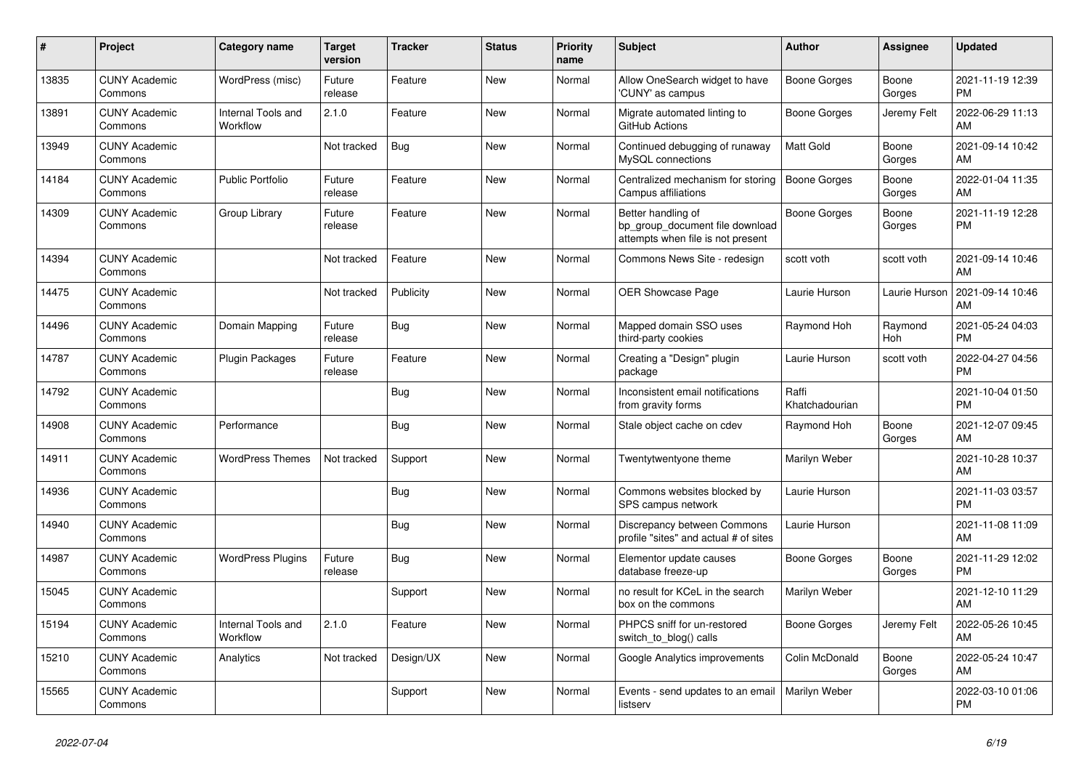| #     | <b>Project</b>                  | Category name                  | <b>Target</b><br>version | <b>Tracker</b> | <b>Status</b> | <b>Priority</b><br>name | <b>Subject</b>                                                                             | <b>Author</b>           | Assignee        | <b>Updated</b>                |
|-------|---------------------------------|--------------------------------|--------------------------|----------------|---------------|-------------------------|--------------------------------------------------------------------------------------------|-------------------------|-----------------|-------------------------------|
| 13835 | <b>CUNY Academic</b><br>Commons | WordPress (misc)               | Future<br>release        | Feature        | <b>New</b>    | Normal                  | Allow OneSearch widget to have<br>'CUNY' as campus                                         | Boone Gorges            | Boone<br>Gorges | 2021-11-19 12:39<br><b>PM</b> |
| 13891 | <b>CUNY Academic</b><br>Commons | Internal Tools and<br>Workflow | 2.1.0                    | Feature        | <b>New</b>    | Normal                  | Migrate automated linting to<br>GitHub Actions                                             | <b>Boone Gorges</b>     | Jeremy Felt     | 2022-06-29 11:13<br>AM        |
| 13949 | <b>CUNY Academic</b><br>Commons |                                | Not tracked              | Bug            | <b>New</b>    | Normal                  | Continued debugging of runaway<br>MySQL connections                                        | <b>Matt Gold</b>        | Boone<br>Gorges | 2021-09-14 10:42<br>AM        |
| 14184 | <b>CUNY Academic</b><br>Commons | <b>Public Portfolio</b>        | Future<br>release        | Feature        | <b>New</b>    | Normal                  | Centralized mechanism for storing<br>Campus affiliations                                   | <b>Boone Gorges</b>     | Boone<br>Gorges | 2022-01-04 11:35<br>AM        |
| 14309 | <b>CUNY Academic</b><br>Commons | Group Library                  | Future<br>release        | Feature        | <b>New</b>    | Normal                  | Better handling of<br>bp_group_document file download<br>attempts when file is not present | <b>Boone Gorges</b>     | Boone<br>Gorges | 2021-11-19 12:28<br><b>PM</b> |
| 14394 | <b>CUNY Academic</b><br>Commons |                                | Not tracked              | Feature        | <b>New</b>    | Normal                  | Commons News Site - redesign                                                               | scott voth              | scott voth      | 2021-09-14 10:46<br>AM        |
| 14475 | <b>CUNY Academic</b><br>Commons |                                | Not tracked              | Publicity      | <b>New</b>    | Normal                  | OER Showcase Page                                                                          | Laurie Hurson           | Laurie Hurson   | 2021-09-14 10:46<br>AM        |
| 14496 | <b>CUNY Academic</b><br>Commons | Domain Mapping                 | Future<br>release        | Bug            | <b>New</b>    | Normal                  | Mapped domain SSO uses<br>third-party cookies                                              | Raymond Hoh             | Raymond<br>Hoh  | 2021-05-24 04:03<br><b>PM</b> |
| 14787 | <b>CUNY Academic</b><br>Commons | Plugin Packages                | Future<br>release        | Feature        | <b>New</b>    | Normal                  | Creating a "Design" plugin<br>package                                                      | Laurie Hurson           | scott voth      | 2022-04-27 04:56<br><b>PM</b> |
| 14792 | <b>CUNY Academic</b><br>Commons |                                |                          | Bug            | <b>New</b>    | Normal                  | Inconsistent email notifications<br>from gravity forms                                     | Raffi<br>Khatchadourian |                 | 2021-10-04 01:50<br><b>PM</b> |
| 14908 | <b>CUNY Academic</b><br>Commons | Performance                    |                          | Bug            | <b>New</b>    | Normal                  | Stale object cache on cdev                                                                 | Raymond Hoh             | Boone<br>Gorges | 2021-12-07 09:45<br>AM        |
| 14911 | <b>CUNY Academic</b><br>Commons | <b>WordPress Themes</b>        | Not tracked              | Support        | New           | Normal                  | Twentytwentyone theme                                                                      | Marilyn Weber           |                 | 2021-10-28 10:37<br>AM        |
| 14936 | <b>CUNY Academic</b><br>Commons |                                |                          | <b>Bug</b>     | New           | Normal                  | Commons websites blocked by<br>SPS campus network                                          | Laurie Hurson           |                 | 2021-11-03 03:57<br><b>PM</b> |
| 14940 | <b>CUNY Academic</b><br>Commons |                                |                          | Bug            | <b>New</b>    | Normal                  | Discrepancy between Commons<br>profile "sites" and actual # of sites                       | Laurie Hurson           |                 | 2021-11-08 11:09<br>AM        |
| 14987 | <b>CUNY Academic</b><br>Commons | <b>WordPress Plugins</b>       | Future<br>release        | Bug            | New           | Normal                  | Elementor update causes<br>database freeze-up                                              | Boone Gorges            | Boone<br>Gorges | 2021-11-29 12:02<br><b>PM</b> |
| 15045 | <b>CUNY Academic</b><br>Commons |                                |                          | Support        | <b>New</b>    | Normal                  | no result for KCeL in the search<br>box on the commons                                     | Marilyn Weber           |                 | 2021-12-10 11:29<br>AM        |
| 15194 | <b>CUNY Academic</b><br>Commons | Internal Tools and<br>Workflow | 2.1.0                    | Feature        | <b>New</b>    | Normal                  | PHPCS sniff for un-restored<br>switch to blog() calls                                      | Boone Gorges            | Jeremy Felt     | 2022-05-26 10:45<br>AM        |
| 15210 | <b>CUNY Academic</b><br>Commons | Analytics                      | Not tracked              | Design/UX      | <b>New</b>    | Normal                  | Google Analytics improvements                                                              | Colin McDonald          | Boone<br>Gorges | 2022-05-24 10:47<br>AM        |
| 15565 | <b>CUNY Academic</b><br>Commons |                                |                          | Support        | <b>New</b>    | Normal                  | Events - send updates to an email<br>listserv                                              | Marilyn Weber           |                 | 2022-03-10 01:06<br><b>PM</b> |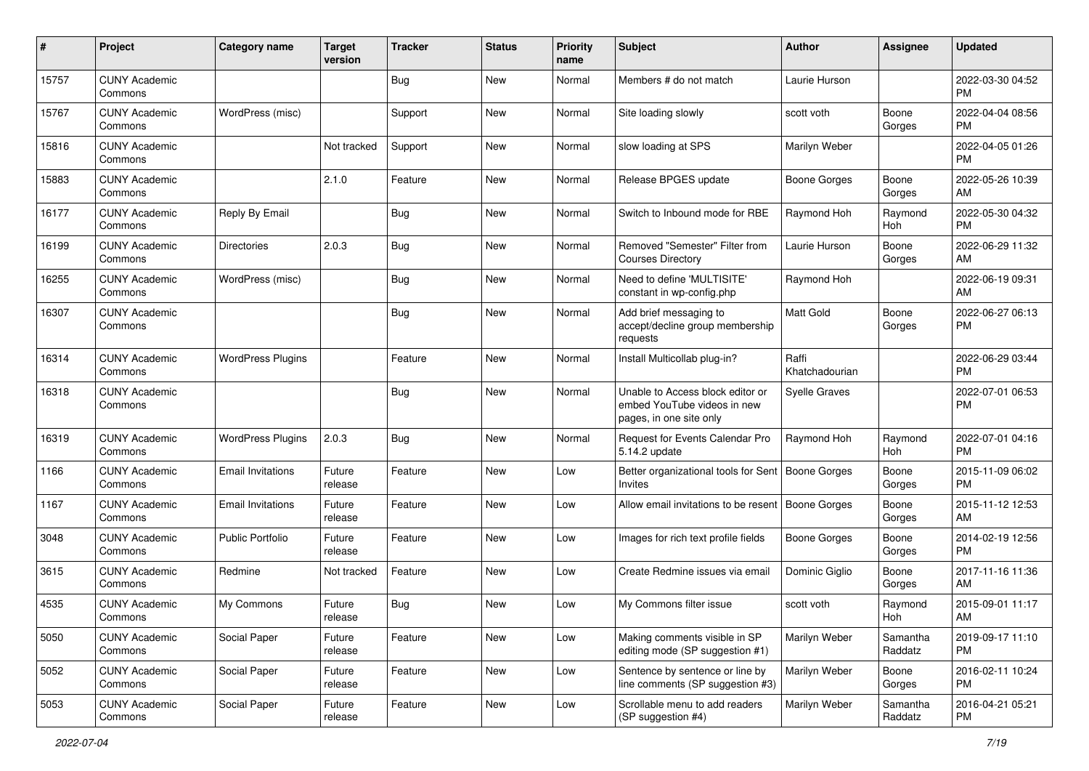| #     | Project                         | <b>Category name</b>     | <b>Target</b><br>version | <b>Tracker</b> | <b>Status</b> | Priority<br>name | <b>Subject</b>                                                                             | <b>Author</b>           | <b>Assignee</b>     | <b>Updated</b>                |
|-------|---------------------------------|--------------------------|--------------------------|----------------|---------------|------------------|--------------------------------------------------------------------------------------------|-------------------------|---------------------|-------------------------------|
| 15757 | <b>CUNY Academic</b><br>Commons |                          |                          | Bug            | <b>New</b>    | Normal           | Members # do not match                                                                     | Laurie Hurson           |                     | 2022-03-30 04:52<br>PM.       |
| 15767 | <b>CUNY Academic</b><br>Commons | WordPress (misc)         |                          | Support        | New           | Normal           | Site loading slowly                                                                        | scott voth              | Boone<br>Gorges     | 2022-04-04 08:56<br><b>PM</b> |
| 15816 | <b>CUNY Academic</b><br>Commons |                          | Not tracked              | Support        | New           | Normal           | slow loading at SPS                                                                        | Marilyn Weber           |                     | 2022-04-05 01:26<br><b>PM</b> |
| 15883 | <b>CUNY Academic</b><br>Commons |                          | 2.1.0                    | Feature        | New           | Normal           | Release BPGES update                                                                       | Boone Gorges            | Boone<br>Gorges     | 2022-05-26 10:39<br>AM        |
| 16177 | <b>CUNY Academic</b><br>Commons | Reply By Email           |                          | Bug            | New           | Normal           | Switch to Inbound mode for RBE                                                             | Raymond Hoh             | Raymond<br>Hoh      | 2022-05-30 04:32<br><b>PM</b> |
| 16199 | <b>CUNY Academic</b><br>Commons | <b>Directories</b>       | 2.0.3                    | <b>Bug</b>     | New           | Normal           | Removed "Semester" Filter from<br><b>Courses Directory</b>                                 | Laurie Hurson           | Boone<br>Gorges     | 2022-06-29 11:32<br>AM        |
| 16255 | <b>CUNY Academic</b><br>Commons | WordPress (misc)         |                          | Bug            | New           | Normal           | Need to define 'MULTISITE'<br>constant in wp-config.php                                    | Raymond Hoh             |                     | 2022-06-19 09:31<br>AM        |
| 16307 | <b>CUNY Academic</b><br>Commons |                          |                          | Bug            | New           | Normal           | Add brief messaging to<br>accept/decline group membership<br>requests                      | <b>Matt Gold</b>        | Boone<br>Gorges     | 2022-06-27 06:13<br>PM.       |
| 16314 | <b>CUNY Academic</b><br>Commons | <b>WordPress Plugins</b> |                          | Feature        | New           | Normal           | Install Multicollab plug-in?                                                               | Raffi<br>Khatchadourian |                     | 2022-06-29 03:44<br><b>PM</b> |
| 16318 | <b>CUNY Academic</b><br>Commons |                          |                          | <b>Bug</b>     | New           | Normal           | Unable to Access block editor or<br>embed YouTube videos in new<br>pages, in one site only | <b>Syelle Graves</b>    |                     | 2022-07-01 06:53<br><b>PM</b> |
| 16319 | <b>CUNY Academic</b><br>Commons | <b>WordPress Plugins</b> | 2.0.3                    | <b>Bug</b>     | New           | Normal           | Request for Events Calendar Pro<br>5.14.2 update                                           | Raymond Hoh             | Raymond<br>Hoh      | 2022-07-01 04:16<br><b>PM</b> |
| 1166  | <b>CUNY Academic</b><br>Commons | <b>Email Invitations</b> | Future<br>release        | Feature        | New           | Low              | Better organizational tools for Sent   Boone Gorges<br>Invites                             |                         | Boone<br>Gorges     | 2015-11-09 06:02<br><b>PM</b> |
| 1167  | <b>CUNY Academic</b><br>Commons | <b>Email Invitations</b> | Future<br>release        | Feature        | New           | Low              | Allow email invitations to be resent                                                       | Boone Gorges            | Boone<br>Gorges     | 2015-11-12 12:53<br>AM        |
| 3048  | <b>CUNY Academic</b><br>Commons | <b>Public Portfolio</b>  | Future<br>release        | Feature        | New           | Low              | Images for rich text profile fields                                                        | Boone Gorges            | Boone<br>Gorges     | 2014-02-19 12:56<br><b>PM</b> |
| 3615  | <b>CUNY Academic</b><br>Commons | Redmine                  | Not tracked              | Feature        | New           | Low              | Create Redmine issues via email                                                            | Dominic Giglio          | Boone<br>Gorges     | 2017-11-16 11:36<br>AM        |
| 4535  | <b>CUNY Academic</b><br>Commons | My Commons               | Future<br>release        | Bug            | New           | Low              | My Commons filter issue                                                                    | scott voth              | Raymond<br>Hoh      | 2015-09-01 11:17<br>AM        |
| 5050  | <b>CUNY Academic</b><br>Commons | Social Paper             | Future<br>release        | Feature        | New           | Low              | Making comments visible in SP<br>editing mode (SP suggestion #1)                           | Marilyn Weber           | Samantha<br>Raddatz | 2019-09-17 11:10<br>PM.       |
| 5052  | <b>CUNY Academic</b><br>Commons | Social Paper             | Future<br>release        | Feature        | New           | Low              | Sentence by sentence or line by<br>line comments (SP suggestion #3)                        | Marilyn Weber           | Boone<br>Gorges     | 2016-02-11 10:24<br><b>PM</b> |
| 5053  | <b>CUNY Academic</b><br>Commons | Social Paper             | Future<br>release        | Feature        | New           | Low              | Scrollable menu to add readers<br>(SP suggestion #4)                                       | Marilyn Weber           | Samantha<br>Raddatz | 2016-04-21 05:21<br><b>PM</b> |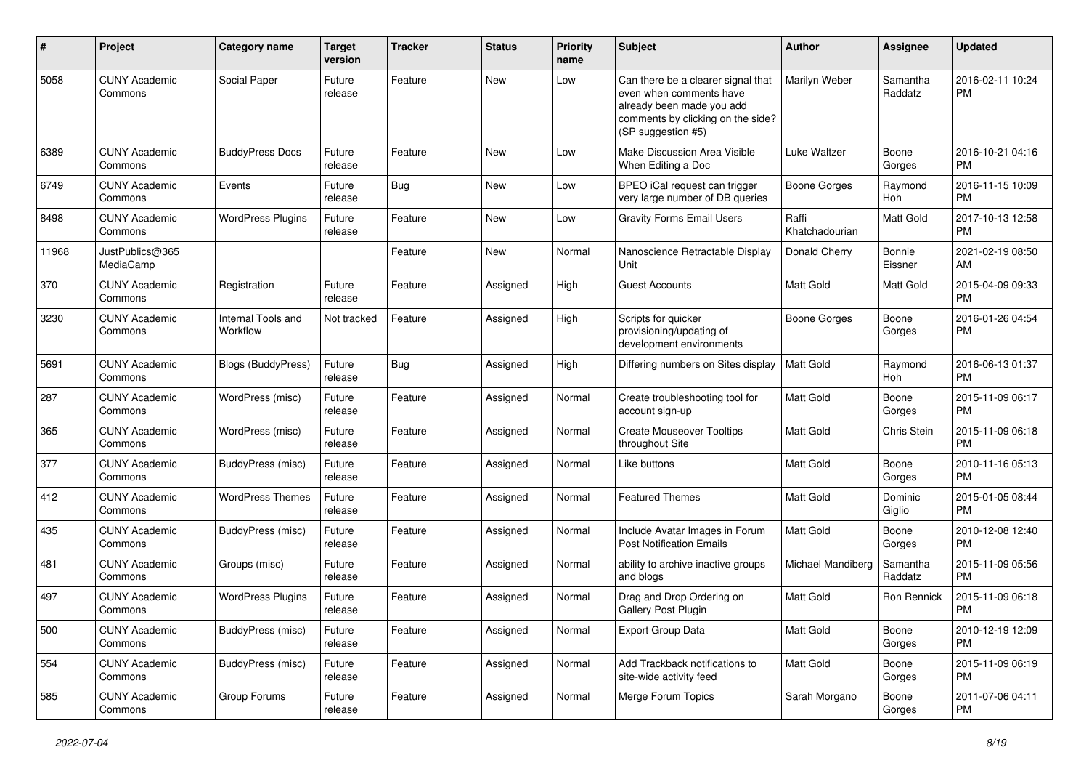| #     | Project                         | Category name                  | <b>Target</b><br>version | <b>Tracker</b> | <b>Status</b> | <b>Priority</b><br>name | Subject                                                                                                                                               | Author                  | Assignee            | <b>Updated</b>                |
|-------|---------------------------------|--------------------------------|--------------------------|----------------|---------------|-------------------------|-------------------------------------------------------------------------------------------------------------------------------------------------------|-------------------------|---------------------|-------------------------------|
| 5058  | <b>CUNY Academic</b><br>Commons | Social Paper                   | Future<br>release        | Feature        | <b>New</b>    | Low                     | Can there be a clearer signal that<br>even when comments have<br>already been made you add<br>comments by clicking on the side?<br>(SP suggestion #5) | Marilyn Weber           | Samantha<br>Raddatz | 2016-02-11 10:24<br><b>PM</b> |
| 6389  | <b>CUNY Academic</b><br>Commons | <b>BuddyPress Docs</b>         | Future<br>release        | Feature        | New           | Low                     | Make Discussion Area Visible<br>When Editing a Doc                                                                                                    | Luke Waltzer            | Boone<br>Gorges     | 2016-10-21 04:16<br><b>PM</b> |
| 6749  | <b>CUNY Academic</b><br>Commons | Events                         | Future<br>release        | Bug            | <b>New</b>    | Low                     | BPEO iCal request can trigger<br>very large number of DB queries                                                                                      | Boone Gorges            | Raymond<br>Hoh      | 2016-11-15 10:09<br><b>PM</b> |
| 8498  | <b>CUNY Academic</b><br>Commons | <b>WordPress Plugins</b>       | Future<br>release        | Feature        | <b>New</b>    | Low                     | <b>Gravity Forms Email Users</b>                                                                                                                      | Raffi<br>Khatchadourian | Matt Gold           | 2017-10-13 12:58<br><b>PM</b> |
| 11968 | JustPublics@365<br>MediaCamp    |                                |                          | Feature        | New           | Normal                  | Nanoscience Retractable Display<br>Unit                                                                                                               | Donald Cherry           | Bonnie<br>Eissner   | 2021-02-19 08:50<br>AM        |
| 370   | <b>CUNY Academic</b><br>Commons | Registration                   | Future<br>release        | Feature        | Assigned      | High                    | <b>Guest Accounts</b>                                                                                                                                 | Matt Gold               | <b>Matt Gold</b>    | 2015-04-09 09:33<br><b>PM</b> |
| 3230  | <b>CUNY Academic</b><br>Commons | Internal Tools and<br>Workflow | Not tracked              | Feature        | Assigned      | High                    | Scripts for quicker<br>provisioning/updating of<br>development environments                                                                           | <b>Boone Gorges</b>     | Boone<br>Gorges     | 2016-01-26 04:54<br>PM        |
| 5691  | <b>CUNY Academic</b><br>Commons | Blogs (BuddyPress)             | Future<br>release        | Bug            | Assigned      | High                    | Differing numbers on Sites display                                                                                                                    | Matt Gold               | Raymond<br>Hoh      | 2016-06-13 01:37<br><b>PM</b> |
| 287   | <b>CUNY Academic</b><br>Commons | WordPress (misc)               | Future<br>release        | Feature        | Assigned      | Normal                  | Create troubleshooting tool for<br>account sign-up                                                                                                    | <b>Matt Gold</b>        | Boone<br>Gorges     | 2015-11-09 06:17<br><b>PM</b> |
| 365   | <b>CUNY Academic</b><br>Commons | WordPress (misc)               | Future<br>release        | Feature        | Assigned      | Normal                  | <b>Create Mouseover Tooltips</b><br>throughout Site                                                                                                   | Matt Gold               | Chris Stein         | 2015-11-09 06:18<br><b>PM</b> |
| 377   | <b>CUNY Academic</b><br>Commons | <b>BuddyPress (misc)</b>       | Future<br>release        | Feature        | Assigned      | Normal                  | Like buttons                                                                                                                                          | Matt Gold               | Boone<br>Gorges     | 2010-11-16 05:13<br><b>PM</b> |
| 412   | <b>CUNY Academic</b><br>Commons | <b>WordPress Themes</b>        | Future<br>release        | Feature        | Assigned      | Normal                  | <b>Featured Themes</b>                                                                                                                                | Matt Gold               | Dominic<br>Giglio   | 2015-01-05 08:44<br>PM        |
| 435   | <b>CUNY Academic</b><br>Commons | <b>BuddyPress</b> (misc)       | Future<br>release        | Feature        | Assigned      | Normal                  | Include Avatar Images in Forum<br><b>Post Notification Emails</b>                                                                                     | Matt Gold               | Boone<br>Gorges     | 2010-12-08 12:40<br><b>PM</b> |
| 481   | <b>CUNY Academic</b><br>Commons | Groups (misc)                  | Future<br>release        | Feature        | Assigned      | Normal                  | ability to archive inactive groups<br>and blogs                                                                                                       | Michael Mandiberg       | Samantha<br>Raddatz | 2015-11-09 05:56<br><b>PM</b> |
| 497   | <b>CUNY Academic</b><br>Commons | <b>WordPress Plugins</b>       | Future<br>release        | Feature        | Assigned      | Normal                  | Drag and Drop Ordering on<br>Gallery Post Plugin                                                                                                      | Matt Gold               | Ron Rennick         | 2015-11-09 06:18<br><b>PM</b> |
| 500   | <b>CUNY Academic</b><br>Commons | <b>BuddyPress (misc)</b>       | Future<br>release        | Feature        | Assigned      | Normal                  | Export Group Data                                                                                                                                     | Matt Gold               | Boone<br>Gorges     | 2010-12-19 12:09<br>PM        |
| 554   | <b>CUNY Academic</b><br>Commons | BuddyPress (misc)              | Future<br>release        | Feature        | Assigned      | Normal                  | Add Trackback notifications to<br>site-wide activity feed                                                                                             | Matt Gold               | Boone<br>Gorges     | 2015-11-09 06:19<br>PM        |
| 585   | <b>CUNY Academic</b><br>Commons | Group Forums                   | Future<br>release        | Feature        | Assigned      | Normal                  | Merge Forum Topics                                                                                                                                    | Sarah Morgano           | Boone<br>Gorges     | 2011-07-06 04:11<br>PM        |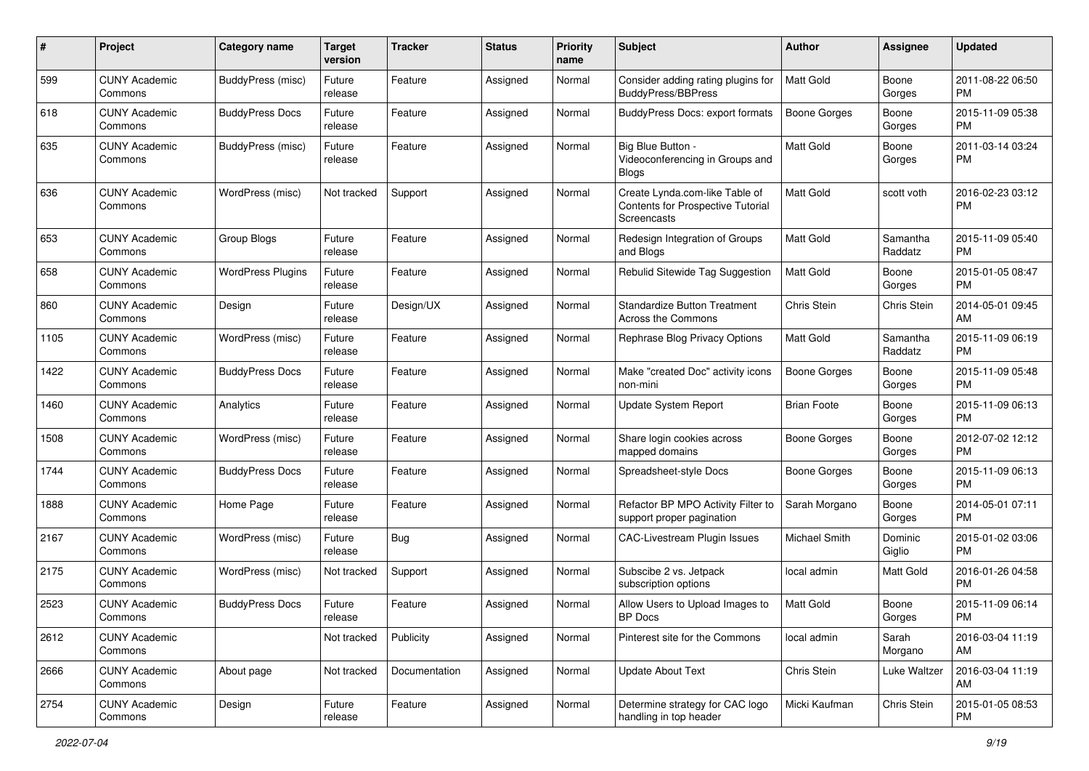| #    | Project                         | <b>Category name</b>     | <b>Target</b><br>version | <b>Tracker</b>       | <b>Status</b> | <b>Priority</b><br>name | <b>Subject</b>                                                                            | Author              | <b>Assignee</b>     | <b>Updated</b>                |
|------|---------------------------------|--------------------------|--------------------------|----------------------|---------------|-------------------------|-------------------------------------------------------------------------------------------|---------------------|---------------------|-------------------------------|
| 599  | <b>CUNY Academic</b><br>Commons | <b>BuddyPress</b> (misc) | Future<br>release        | Feature              | Assigned      | Normal                  | Consider adding rating plugins for<br><b>BuddyPress/BBPress</b>                           | <b>Matt Gold</b>    | Boone<br>Gorges     | 2011-08-22 06:50<br>PM.       |
| 618  | <b>CUNY Academic</b><br>Commons | <b>BuddyPress Docs</b>   | Future<br>release        | Feature              | Assigned      | Normal                  | <b>BuddyPress Docs: export formats</b>                                                    | <b>Boone Gorges</b> | Boone<br>Gorges     | 2015-11-09 05:38<br><b>PM</b> |
| 635  | <b>CUNY Academic</b><br>Commons | BuddyPress (misc)        | Future<br>release        | Feature              | Assigned      | Normal                  | Big Blue Button -<br>Videoconferencing in Groups and<br><b>Blogs</b>                      | <b>Matt Gold</b>    | Boone<br>Gorges     | 2011-03-14 03:24<br><b>PM</b> |
| 636  | <b>CUNY Academic</b><br>Commons | WordPress (misc)         | Not tracked              | Support              | Assigned      | Normal                  | Create Lynda.com-like Table of<br>Contents for Prospective Tutorial<br><b>Screencasts</b> | <b>Matt Gold</b>    | scott voth          | 2016-02-23 03:12<br><b>PM</b> |
| 653  | <b>CUNY Academic</b><br>Commons | Group Blogs              | Future<br>release        | Feature              | Assigned      | Normal                  | Redesign Integration of Groups<br>and Blogs                                               | Matt Gold           | Samantha<br>Raddatz | 2015-11-09 05:40<br>PM.       |
| 658  | <b>CUNY Academic</b><br>Commons | <b>WordPress Plugins</b> | Future<br>release        | Feature              | Assigned      | Normal                  | Rebulid Sitewide Tag Suggestion                                                           | <b>Matt Gold</b>    | Boone<br>Gorges     | 2015-01-05 08:47<br>PM        |
| 860  | <b>CUNY Academic</b><br>Commons | Design                   | Future<br>release        | Design/UX            | Assigned      | Normal                  | <b>Standardize Button Treatment</b><br>Across the Commons                                 | Chris Stein         | Chris Stein         | 2014-05-01 09:45<br>AM        |
| 1105 | <b>CUNY Academic</b><br>Commons | WordPress (misc)         | Future<br>release        | Feature              | Assigned      | Normal                  | Rephrase Blog Privacy Options                                                             | Matt Gold           | Samantha<br>Raddatz | 2015-11-09 06:19<br><b>PM</b> |
| 1422 | <b>CUNY Academic</b><br>Commons | <b>BuddyPress Docs</b>   | Future<br>release        | Feature              | Assigned      | Normal                  | Make "created Doc" activity icons<br>non-mini                                             | Boone Gorges        | Boone<br>Gorges     | 2015-11-09 05:48<br><b>PM</b> |
| 1460 | <b>CUNY Academic</b><br>Commons | Analytics                | Future<br>release        | Feature              | Assigned      | Normal                  | Update System Report                                                                      | <b>Brian Foote</b>  | Boone<br>Gorges     | 2015-11-09 06:13<br>PM.       |
| 1508 | <b>CUNY Academic</b><br>Commons | WordPress (misc)         | Future<br>release        | Feature              | Assigned      | Normal                  | Share login cookies across<br>mapped domains                                              | Boone Gorges        | Boone<br>Gorges     | 2012-07-02 12:12<br><b>PM</b> |
| 1744 | <b>CUNY Academic</b><br>Commons | <b>BuddyPress Docs</b>   | Future<br>release        | Feature              | Assigned      | Normal                  | Spreadsheet-style Docs                                                                    | Boone Gorges        | Boone<br>Gorges     | 2015-11-09 06:13<br><b>PM</b> |
| 1888 | <b>CUNY Academic</b><br>Commons | Home Page                | Future<br>release        | Feature              | Assigned      | Normal                  | Refactor BP MPO Activity Filter to<br>support proper pagination                           | Sarah Morgano       | Boone<br>Gorges     | 2014-05-01 07:11<br>PM.       |
| 2167 | <b>CUNY Academic</b><br>Commons | WordPress (misc)         | Future<br>release        | Bug                  | Assigned      | Normal                  | CAC-Livestream Plugin Issues                                                              | Michael Smith       | Dominic<br>Giglio   | 2015-01-02 03:06<br><b>PM</b> |
| 2175 | <b>CUNY Academic</b><br>Commons | WordPress (misc)         | Not tracked              | Support              | Assigned      | Normal                  | Subscibe 2 vs. Jetpack<br>subscription options                                            | local admin         | Matt Gold           | 2016-01-26 04:58<br><b>PM</b> |
| 2523 | <b>CUNY Academic</b><br>Commons | <b>BuddyPress Docs</b>   | Future<br>release        | Feature              | Assigned      | Normal                  | Allow Users to Upload Images to<br>BP Docs                                                | <b>Matt Gold</b>    | Boone<br>Gorges     | 2015-11-09 06:14<br>PM        |
| 2612 | <b>CUNY Academic</b><br>Commons |                          | Not tracked              | Publicity            | Assigned      | Normal                  | Pinterest site for the Commons                                                            | local admin         | Sarah<br>Morgano    | 2016-03-04 11:19<br>AM        |
| 2666 | <b>CUNY Academic</b><br>Commons | About page               | Not tracked              | <b>Documentation</b> | Assigned      | Normal                  | <b>Update About Text</b>                                                                  | Chris Stein         | Luke Waltzer        | 2016-03-04 11:19<br>AM        |
| 2754 | <b>CUNY Academic</b><br>Commons | Design                   | Future<br>release        | Feature              | Assigned      | Normal                  | Determine strategy for CAC logo<br>handling in top header                                 | Micki Kaufman       | Chris Stein         | 2015-01-05 08:53<br><b>PM</b> |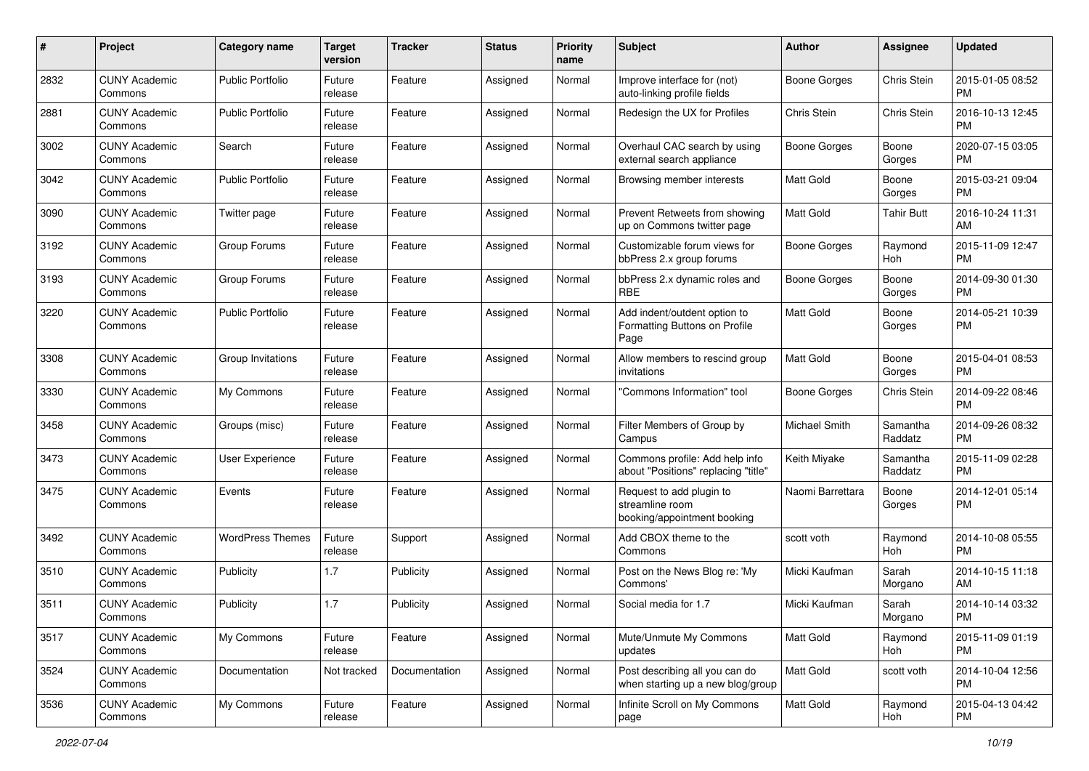| #    | Project                         | <b>Category name</b>    | <b>Target</b><br>version | <b>Tracker</b> | <b>Status</b> | <b>Priority</b><br>name | <b>Subject</b>                                                             | Author           | Assignee            | <b>Updated</b>                |
|------|---------------------------------|-------------------------|--------------------------|----------------|---------------|-------------------------|----------------------------------------------------------------------------|------------------|---------------------|-------------------------------|
| 2832 | <b>CUNY Academic</b><br>Commons | <b>Public Portfolio</b> | Future<br>release        | Feature        | Assigned      | Normal                  | Improve interface for (not)<br>auto-linking profile fields                 | Boone Gorges     | Chris Stein         | 2015-01-05 08:52<br><b>PM</b> |
| 2881 | <b>CUNY Academic</b><br>Commons | <b>Public Portfolio</b> | Future<br>release        | Feature        | Assigned      | Normal                  | Redesign the UX for Profiles                                               | Chris Stein      | Chris Stein         | 2016-10-13 12:45<br><b>PM</b> |
| 3002 | <b>CUNY Academic</b><br>Commons | Search                  | Future<br>release        | Feature        | Assigned      | Normal                  | Overhaul CAC search by using<br>external search appliance                  | Boone Gorges     | Boone<br>Gorges     | 2020-07-15 03:05<br><b>PM</b> |
| 3042 | <b>CUNY Academic</b><br>Commons | <b>Public Portfolio</b> | Future<br>release        | Feature        | Assigned      | Normal                  | Browsing member interests                                                  | <b>Matt Gold</b> | Boone<br>Gorges     | 2015-03-21 09:04<br><b>PM</b> |
| 3090 | <b>CUNY Academic</b><br>Commons | Twitter page            | Future<br>release        | Feature        | Assigned      | Normal                  | Prevent Retweets from showing<br>up on Commons twitter page                | <b>Matt Gold</b> | <b>Tahir Butt</b>   | 2016-10-24 11:31<br>AM        |
| 3192 | <b>CUNY Academic</b><br>Commons | Group Forums            | Future<br>release        | Feature        | Assigned      | Normal                  | Customizable forum views for<br>bbPress 2.x group forums                   | Boone Gorges     | Raymond<br>Hoh      | 2015-11-09 12:47<br><b>PM</b> |
| 3193 | <b>CUNY Academic</b><br>Commons | Group Forums            | Future<br>release        | Feature        | Assigned      | Normal                  | bbPress 2.x dynamic roles and<br>RBE                                       | Boone Gorges     | Boone<br>Gorges     | 2014-09-30 01:30<br><b>PM</b> |
| 3220 | <b>CUNY Academic</b><br>Commons | <b>Public Portfolio</b> | Future<br>release        | Feature        | Assigned      | Normal                  | Add indent/outdent option to<br>Formatting Buttons on Profile<br>Page      | <b>Matt Gold</b> | Boone<br>Gorges     | 2014-05-21 10:39<br>PM.       |
| 3308 | <b>CUNY Academic</b><br>Commons | Group Invitations       | Future<br>release        | Feature        | Assigned      | Normal                  | Allow members to rescind group<br>invitations                              | <b>Matt Gold</b> | Boone<br>Gorges     | 2015-04-01 08:53<br>PM.       |
| 3330 | <b>CUNY Academic</b><br>Commons | My Commons              | Future<br>release        | Feature        | Assigned      | Normal                  | "Commons Information" tool                                                 | Boone Gorges     | <b>Chris Stein</b>  | 2014-09-22 08:46<br><b>PM</b> |
| 3458 | <b>CUNY Academic</b><br>Commons | Groups (misc)           | Future<br>release        | Feature        | Assigned      | Normal                  | Filter Members of Group by<br>Campus                                       | Michael Smith    | Samantha<br>Raddatz | 2014-09-26 08:32<br><b>PM</b> |
| 3473 | <b>CUNY Academic</b><br>Commons | User Experience         | Future<br>release        | Feature        | Assigned      | Normal                  | Commons profile: Add help info<br>about "Positions" replacing "title"      | Keith Miyake     | Samantha<br>Raddatz | 2015-11-09 02:28<br><b>PM</b> |
| 3475 | <b>CUNY Academic</b><br>Commons | Events                  | Future<br>release        | Feature        | Assigned      | Normal                  | Request to add plugin to<br>streamline room<br>booking/appointment booking | Naomi Barrettara | Boone<br>Gorges     | 2014-12-01 05:14<br><b>PM</b> |
| 3492 | <b>CUNY Academic</b><br>Commons | <b>WordPress Themes</b> | Future<br>release        | Support        | Assigned      | Normal                  | Add CBOX theme to the<br>Commons                                           | scott voth       | Raymond<br>Hoh      | 2014-10-08 05:55<br><b>PM</b> |
| 3510 | <b>CUNY Academic</b><br>Commons | Publicity               | 1.7                      | Publicity      | Assigned      | Normal                  | Post on the News Blog re: 'My<br>Commons'                                  | Micki Kaufman    | Sarah<br>Morgano    | 2014-10-15 11:18<br>AM        |
| 3511 | <b>CUNY Academic</b><br>Commons | Publicity               | 1.7                      | Publicity      | Assigned      | Normal                  | Social media for 1.7                                                       | Micki Kaufman    | Sarah<br>Morgano    | 2014-10-14 03:32<br>PM        |
| 3517 | <b>CUNY Academic</b><br>Commons | My Commons              | Future<br>release        | Feature        | Assigned      | Normal                  | Mute/Unmute My Commons<br>updates                                          | Matt Gold        | Raymond<br>Hoh      | 2015-11-09 01:19<br>PM        |
| 3524 | <b>CUNY Academic</b><br>Commons | Documentation           | Not tracked              | Documentation  | Assigned      | Normal                  | Post describing all you can do<br>when starting up a new blog/group        | Matt Gold        | scott voth          | 2014-10-04 12:56<br><b>PM</b> |
| 3536 | <b>CUNY Academic</b><br>Commons | My Commons              | Future<br>release        | Feature        | Assigned      | Normal                  | Infinite Scroll on My Commons<br>page                                      | Matt Gold        | Raymond<br>Hoh      | 2015-04-13 04:42<br>PM        |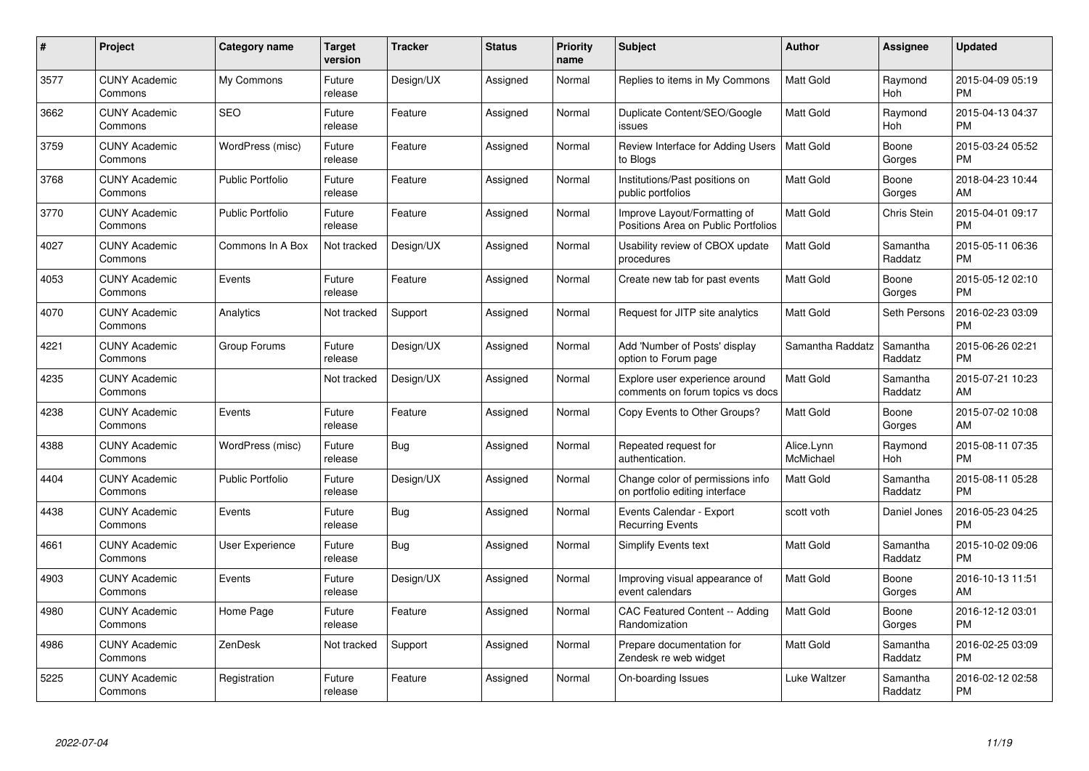| $\#$ | Project                         | <b>Category name</b>    | Target<br>version | <b>Tracker</b> | <b>Status</b> | Priority<br>name | <b>Subject</b>                                                      | <b>Author</b>           | <b>Assignee</b>     | <b>Updated</b>                |
|------|---------------------------------|-------------------------|-------------------|----------------|---------------|------------------|---------------------------------------------------------------------|-------------------------|---------------------|-------------------------------|
| 3577 | <b>CUNY Academic</b><br>Commons | My Commons              | Future<br>release | Design/UX      | Assigned      | Normal           | Replies to items in My Commons                                      | <b>Matt Gold</b>        | Raymond<br>Hoh      | 2015-04-09 05:19<br><b>PM</b> |
| 3662 | <b>CUNY Academic</b><br>Commons | <b>SEO</b>              | Future<br>release | Feature        | Assigned      | Normal           | Duplicate Content/SEO/Google<br>issues                              | <b>Matt Gold</b>        | Raymond<br>Hoh      | 2015-04-13 04:37<br><b>PM</b> |
| 3759 | <b>CUNY Academic</b><br>Commons | WordPress (misc)        | Future<br>release | Feature        | Assigned      | Normal           | Review Interface for Adding Users<br>to Blogs                       | <b>Matt Gold</b>        | Boone<br>Gorges     | 2015-03-24 05:52<br><b>PM</b> |
| 3768 | <b>CUNY Academic</b><br>Commons | <b>Public Portfolio</b> | Future<br>release | Feature        | Assigned      | Normal           | Institutions/Past positions on<br>public portfolios                 | <b>Matt Gold</b>        | Boone<br>Gorges     | 2018-04-23 10:44<br>AM        |
| 3770 | <b>CUNY Academic</b><br>Commons | <b>Public Portfolio</b> | Future<br>release | Feature        | Assigned      | Normal           | Improve Layout/Formatting of<br>Positions Area on Public Portfolios | <b>Matt Gold</b>        | <b>Chris Stein</b>  | 2015-04-01 09:17<br><b>PM</b> |
| 4027 | <b>CUNY Academic</b><br>Commons | Commons In A Box        | Not tracked       | Design/UX      | Assigned      | Normal           | Usability review of CBOX update<br>procedures                       | <b>Matt Gold</b>        | Samantha<br>Raddatz | 2015-05-11 06:36<br><b>PM</b> |
| 4053 | <b>CUNY Academic</b><br>Commons | Events                  | Future<br>release | Feature        | Assigned      | Normal           | Create new tab for past events                                      | Matt Gold               | Boone<br>Gorges     | 2015-05-12 02:10<br><b>PM</b> |
| 4070 | <b>CUNY Academic</b><br>Commons | Analytics               | Not tracked       | Support        | Assigned      | Normal           | Request for JITP site analytics                                     | <b>Matt Gold</b>        | Seth Persons        | 2016-02-23 03:09<br><b>PM</b> |
| 4221 | <b>CUNY Academic</b><br>Commons | Group Forums            | Future<br>release | Design/UX      | Assigned      | Normal           | Add 'Number of Posts' display<br>option to Forum page               | Samantha Raddatz        | Samantha<br>Raddatz | 2015-06-26 02:21<br><b>PM</b> |
| 4235 | <b>CUNY Academic</b><br>Commons |                         | Not tracked       | Design/UX      | Assigned      | Normal           | Explore user experience around<br>comments on forum topics vs docs  | <b>Matt Gold</b>        | Samantha<br>Raddatz | 2015-07-21 10:23<br>AM        |
| 4238 | <b>CUNY Academic</b><br>Commons | Events                  | Future<br>release | Feature        | Assigned      | Normal           | Copy Events to Other Groups?                                        | Matt Gold               | Boone<br>Gorges     | 2015-07-02 10:08<br>AM        |
| 4388 | <b>CUNY Academic</b><br>Commons | WordPress (misc)        | Future<br>release | Bug            | Assigned      | Normal           | Repeated request for<br>authentication.                             | Alice.Lynn<br>McMichael | Raymond<br>Hoh      | 2015-08-11 07:35<br><b>PM</b> |
| 4404 | <b>CUNY Academic</b><br>Commons | Public Portfolio        | Future<br>release | Design/UX      | Assigned      | Normal           | Change color of permissions info<br>on portfolio editing interface  | <b>Matt Gold</b>        | Samantha<br>Raddatz | 2015-08-11 05:28<br><b>PM</b> |
| 4438 | <b>CUNY Academic</b><br>Commons | Events                  | Future<br>release | Bug            | Assigned      | Normal           | Events Calendar - Export<br><b>Recurring Events</b>                 | scott voth              | Daniel Jones        | 2016-05-23 04:25<br><b>PM</b> |
| 4661 | <b>CUNY Academic</b><br>Commons | User Experience         | Future<br>release | Bug            | Assigned      | Normal           | Simplify Events text                                                | <b>Matt Gold</b>        | Samantha<br>Raddatz | 2015-10-02 09:06<br><b>PM</b> |
| 4903 | <b>CUNY Academic</b><br>Commons | Events                  | Future<br>release | Design/UX      | Assigned      | Normal           | Improving visual appearance of<br>event calendars                   | Matt Gold               | Boone<br>Gorges     | 2016-10-13 11:51<br>AM        |
| 4980 | <b>CUNY Academic</b><br>Commons | Home Page               | Future<br>release | Feature        | Assigned      | Normal           | CAC Featured Content -- Adding<br>Randomization                     | <b>Matt Gold</b>        | Boone<br>Gorges     | 2016-12-12 03:01<br><b>PM</b> |
| 4986 | <b>CUNY Academic</b><br>Commons | ZenDesk                 | Not tracked       | Support        | Assigned      | Normal           | Prepare documentation for<br>Zendesk re web widget                  | <b>Matt Gold</b>        | Samantha<br>Raddatz | 2016-02-25 03:09<br><b>PM</b> |
| 5225 | CUNY Academic<br>Commons        | Registration            | Future<br>release | Feature        | Assigned      | Normal           | On-boarding Issues                                                  | Luke Waltzer            | Samantha<br>Raddatz | 2016-02-12 02:58<br><b>PM</b> |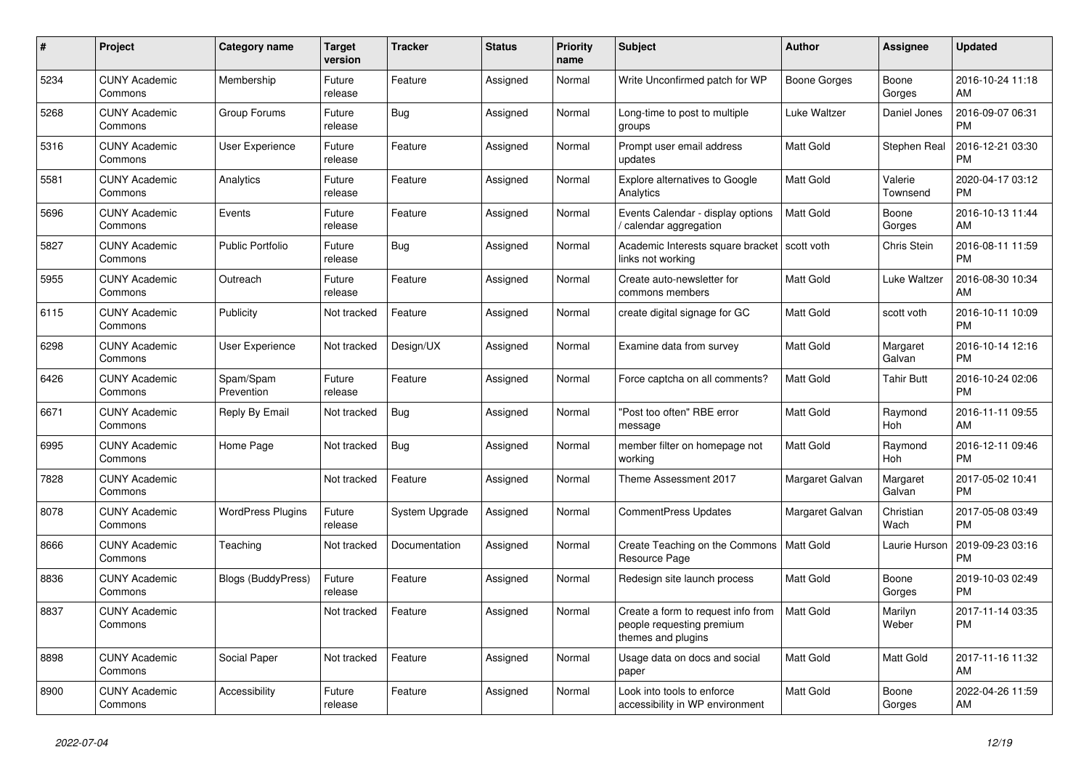| $\#$ | Project                         | <b>Category name</b>     | <b>Target</b><br>version | <b>Tracker</b> | <b>Status</b> | Priority<br>name | <b>Subject</b>                                                                        | <b>Author</b>    | <b>Assignee</b>     | <b>Updated</b>                |
|------|---------------------------------|--------------------------|--------------------------|----------------|---------------|------------------|---------------------------------------------------------------------------------------|------------------|---------------------|-------------------------------|
| 5234 | <b>CUNY Academic</b><br>Commons | Membership               | Future<br>release        | Feature        | Assigned      | Normal           | Write Unconfirmed patch for WP                                                        | Boone Gorges     | Boone<br>Gorges     | 2016-10-24 11:18<br>AM        |
| 5268 | <b>CUNY Academic</b><br>Commons | Group Forums             | Future<br>release        | Bug            | Assigned      | Normal           | Long-time to post to multiple<br>groups                                               | Luke Waltzer     | Daniel Jones        | 2016-09-07 06:31<br><b>PM</b> |
| 5316 | <b>CUNY Academic</b><br>Commons | User Experience          | Future<br>release        | Feature        | Assigned      | Normal           | Prompt user email address<br>updates                                                  | Matt Gold        | Stephen Real        | 2016-12-21 03:30<br><b>PM</b> |
| 5581 | <b>CUNY Academic</b><br>Commons | Analytics                | Future<br>release        | Feature        | Assigned      | Normal           | <b>Explore alternatives to Google</b><br>Analytics                                    | Matt Gold        | Valerie<br>Townsend | 2020-04-17 03:12<br><b>PM</b> |
| 5696 | <b>CUNY Academic</b><br>Commons | Events                   | Future<br>release        | Feature        | Assigned      | Normal           | Events Calendar - display options<br>calendar aggregation                             | <b>Matt Gold</b> | Boone<br>Gorges     | 2016-10-13 11:44<br>AM        |
| 5827 | <b>CUNY Academic</b><br>Commons | <b>Public Portfolio</b>  | Future<br>release        | Bug            | Assigned      | Normal           | Academic Interests square bracket<br>links not working                                | scott voth       | Chris Stein         | 2016-08-11 11:59<br><b>PM</b> |
| 5955 | <b>CUNY Academic</b><br>Commons | Outreach                 | Future<br>release        | Feature        | Assigned      | Normal           | Create auto-newsletter for<br>commons members                                         | <b>Matt Gold</b> | Luke Waltzer        | 2016-08-30 10:34<br>AM        |
| 6115 | <b>CUNY Academic</b><br>Commons | Publicity                | Not tracked              | Feature        | Assigned      | Normal           | create digital signage for GC                                                         | <b>Matt Gold</b> | scott voth          | 2016-10-11 10:09<br><b>PM</b> |
| 6298 | <b>CUNY Academic</b><br>Commons | User Experience          | Not tracked              | Design/UX      | Assigned      | Normal           | Examine data from survey                                                              | Matt Gold        | Margaret<br>Galvan  | 2016-10-14 12:16<br><b>PM</b> |
| 6426 | <b>CUNY Academic</b><br>Commons | Spam/Spam<br>Prevention  | Future<br>release        | Feature        | Assigned      | Normal           | Force captcha on all comments?                                                        | <b>Matt Gold</b> | <b>Tahir Butt</b>   | 2016-10-24 02:06<br><b>PM</b> |
| 6671 | <b>CUNY Academic</b><br>Commons | Reply By Email           | Not tracked              | Bug            | Assigned      | Normal           | "Post too often" RBE error<br>message                                                 | Matt Gold        | Raymond<br>Hoh      | 2016-11-11 09:55<br>AM        |
| 6995 | <b>CUNY Academic</b><br>Commons | Home Page                | Not tracked              | Bug            | Assigned      | Normal           | member filter on homepage not<br>working                                              | <b>Matt Gold</b> | Raymond<br>Hoh      | 2016-12-11 09:46<br><b>PM</b> |
| 7828 | <b>CUNY Academic</b><br>Commons |                          | Not tracked              | Feature        | Assigned      | Normal           | Theme Assessment 2017                                                                 | Margaret Galvan  | Margaret<br>Galvan  | 2017-05-02 10:41<br><b>PM</b> |
| 8078 | <b>CUNY Academic</b><br>Commons | <b>WordPress Plugins</b> | Future<br>release        | System Upgrade | Assigned      | Normal           | CommentPress Updates                                                                  | Margaret Galvan  | Christian<br>Wach   | 2017-05-08 03:49<br><b>PM</b> |
| 8666 | <b>CUNY Academic</b><br>Commons | Teaching                 | Not tracked              | Documentation  | Assigned      | Normal           | Create Teaching on the Commons<br>Resource Page                                       | <b>Matt Gold</b> | Laurie Hurson       | 2019-09-23 03:16<br><b>PM</b> |
| 8836 | <b>CUNY Academic</b><br>Commons | Blogs (BuddyPress)       | Future<br>release        | Feature        | Assigned      | Normal           | Redesign site launch process                                                          | Matt Gold        | Boone<br>Gorges     | 2019-10-03 02:49<br><b>PM</b> |
| 8837 | <b>CUNY Academic</b><br>Commons |                          | Not tracked              | Feature        | Assigned      | Normal           | Create a form to request info from<br>people requesting premium<br>themes and plugins | <b>Matt Gold</b> | Marilyn<br>Weber    | 2017-11-14 03:35<br><b>PM</b> |
| 8898 | <b>CUNY Academic</b><br>Commons | Social Paper             | Not tracked              | Feature        | Assigned      | Normal           | Usage data on docs and social<br>paper                                                | <b>Matt Gold</b> | Matt Gold           | 2017-11-16 11:32<br>AM        |
| 8900 | <b>CUNY Academic</b><br>Commons | Accessibility            | Future<br>release        | Feature        | Assigned      | Normal           | Look into tools to enforce<br>accessibility in WP environment                         | Matt Gold        | Boone<br>Gorges     | 2022-04-26 11:59<br>AM        |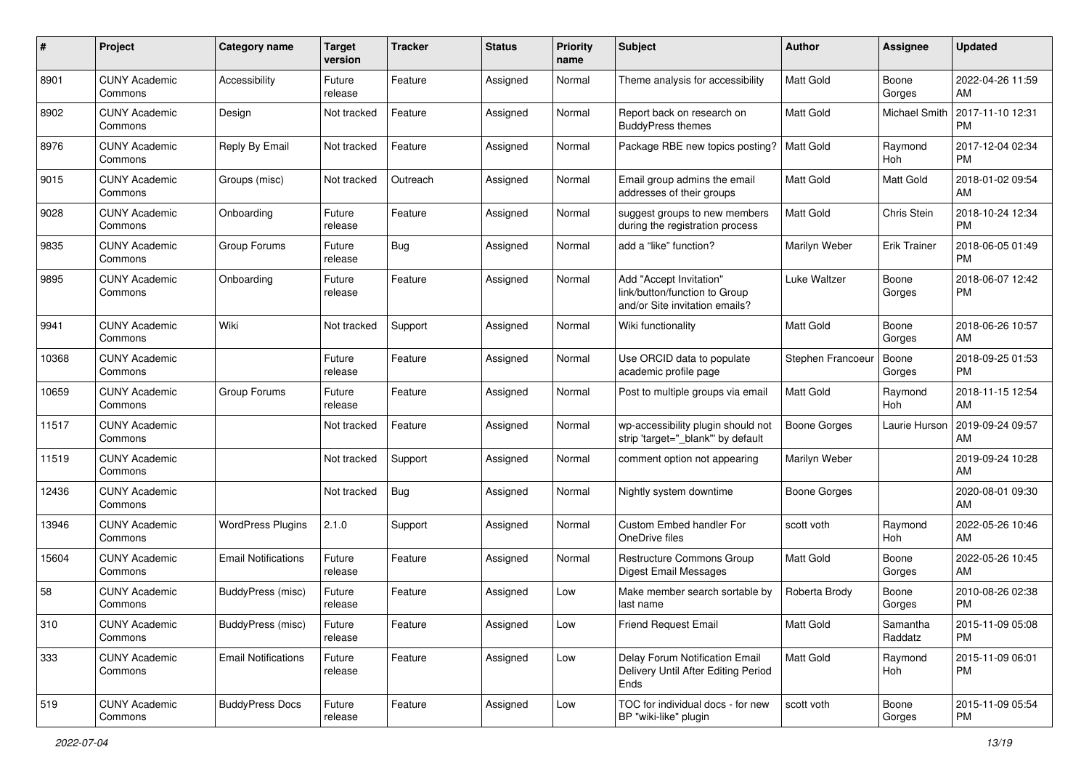| #     | Project                         | <b>Category name</b>       | <b>Target</b><br>version | <b>Tracker</b> | <b>Status</b> | Priority<br>name | <b>Subject</b>                                                                             | <b>Author</b>       | <b>Assignee</b>     | <b>Updated</b>                |
|-------|---------------------------------|----------------------------|--------------------------|----------------|---------------|------------------|--------------------------------------------------------------------------------------------|---------------------|---------------------|-------------------------------|
| 8901  | <b>CUNY Academic</b><br>Commons | Accessibility              | Future<br>release        | Feature        | Assigned      | Normal           | Theme analysis for accessibility                                                           | <b>Matt Gold</b>    | Boone<br>Gorges     | 2022-04-26 11:59<br>AM        |
| 8902  | <b>CUNY Academic</b><br>Commons | Design                     | Not tracked              | Feature        | Assigned      | Normal           | Report back on research on<br><b>BuddyPress themes</b>                                     | <b>Matt Gold</b>    | Michael Smith       | 2017-11-10 12:31<br><b>PM</b> |
| 8976  | <b>CUNY Academic</b><br>Commons | Reply By Email             | Not tracked              | Feature        | Assigned      | Normal           | Package RBE new topics posting?                                                            | <b>Matt Gold</b>    | Raymond<br>Hoh      | 2017-12-04 02:34<br><b>PM</b> |
| 9015  | <b>CUNY Academic</b><br>Commons | Groups (misc)              | Not tracked              | Outreach       | Assigned      | Normal           | Email group admins the email<br>addresses of their groups                                  | <b>Matt Gold</b>    | Matt Gold           | 2018-01-02 09:54<br>AM        |
| 9028  | <b>CUNY Academic</b><br>Commons | Onboarding                 | Future<br>release        | Feature        | Assigned      | Normal           | suggest groups to new members<br>during the registration process                           | <b>Matt Gold</b>    | Chris Stein         | 2018-10-24 12:34<br><b>PM</b> |
| 9835  | <b>CUNY Academic</b><br>Commons | Group Forums               | Future<br>release        | Bug            | Assigned      | Normal           | add a "like" function?                                                                     | Marilyn Weber       | Erik Trainer        | 2018-06-05 01:49<br><b>PM</b> |
| 9895  | <b>CUNY Academic</b><br>Commons | Onboarding                 | Future<br>release        | Feature        | Assigned      | Normal           | Add "Accept Invitation"<br>link/button/function to Group<br>and/or Site invitation emails? | Luke Waltzer        | Boone<br>Gorges     | 2018-06-07 12:42<br><b>PM</b> |
| 9941  | <b>CUNY Academic</b><br>Commons | Wiki                       | Not tracked              | Support        | Assigned      | Normal           | Wiki functionality                                                                         | Matt Gold           | Boone<br>Gorges     | 2018-06-26 10:57<br>AM        |
| 10368 | <b>CUNY Academic</b><br>Commons |                            | Future<br>release        | Feature        | Assigned      | Normal           | Use ORCID data to populate<br>academic profile page                                        | Stephen Francoeu    | Boone<br>Gorges     | 2018-09-25 01:53<br><b>PM</b> |
| 10659 | <b>CUNY Academic</b><br>Commons | Group Forums               | Future<br>release        | Feature        | Assigned      | Normal           | Post to multiple groups via email                                                          | <b>Matt Gold</b>    | Raymond<br>Hoh      | 2018-11-15 12:54<br>AM        |
| 11517 | <b>CUNY Academic</b><br>Commons |                            | Not tracked              | Feature        | Assigned      | Normal           | wp-accessibility plugin should not<br>strip 'target="_blank" by default                    | <b>Boone Gorges</b> | Laurie Hurson       | 2019-09-24 09:57<br>AM        |
| 11519 | <b>CUNY Academic</b><br>Commons |                            | Not tracked              | Support        | Assigned      | Normal           | comment option not appearing                                                               | Marilyn Weber       |                     | 2019-09-24 10:28<br>AM        |
| 12436 | <b>CUNY Academic</b><br>Commons |                            | Not tracked              | <b>Bug</b>     | Assigned      | Normal           | Nightly system downtime                                                                    | Boone Gorges        |                     | 2020-08-01 09:30<br>AM        |
| 13946 | <b>CUNY Academic</b><br>Commons | <b>WordPress Plugins</b>   | 2.1.0                    | Support        | Assigned      | Normal           | Custom Embed handler For<br>OneDrive files                                                 | scott voth          | Raymond<br>Hoh      | 2022-05-26 10:46<br>AM        |
| 15604 | <b>CUNY Academic</b><br>Commons | <b>Email Notifications</b> | Future<br>release        | Feature        | Assigned      | Normal           | Restructure Commons Group<br><b>Digest Email Messages</b>                                  | Matt Gold           | Boone<br>Gorges     | 2022-05-26 10:45<br>AM        |
| 58    | <b>CUNY Academic</b><br>Commons | BuddyPress (misc)          | Future<br>release        | Feature        | Assigned      | Low              | Make member search sortable by<br>last name                                                | Roberta Brody       | Boone<br>Gorges     | 2010-08-26 02:38<br><b>PM</b> |
| 310   | <b>CUNY Academic</b><br>Commons | <b>BuddyPress</b> (misc)   | Future<br>release        | Feature        | Assigned      | Low              | <b>Friend Request Email</b>                                                                | Matt Gold           | Samantha<br>Raddatz | 2015-11-09 05:08<br><b>PM</b> |
| 333   | <b>CUNY Academic</b><br>Commons | <b>Email Notifications</b> | Future<br>release        | Feature        | Assigned      | Low              | Delay Forum Notification Email<br>Delivery Until After Editing Period<br>Ends              | Matt Gold           | Raymond<br>Hoh      | 2015-11-09 06:01<br><b>PM</b> |
| 519   | <b>CUNY Academic</b><br>Commons | <b>BuddyPress Docs</b>     | Future<br>release        | Feature        | Assigned      | Low              | TOC for individual docs - for new<br>BP "wiki-like" plugin                                 | scott voth          | Boone<br>Gorges     | 2015-11-09 05:54<br>PM        |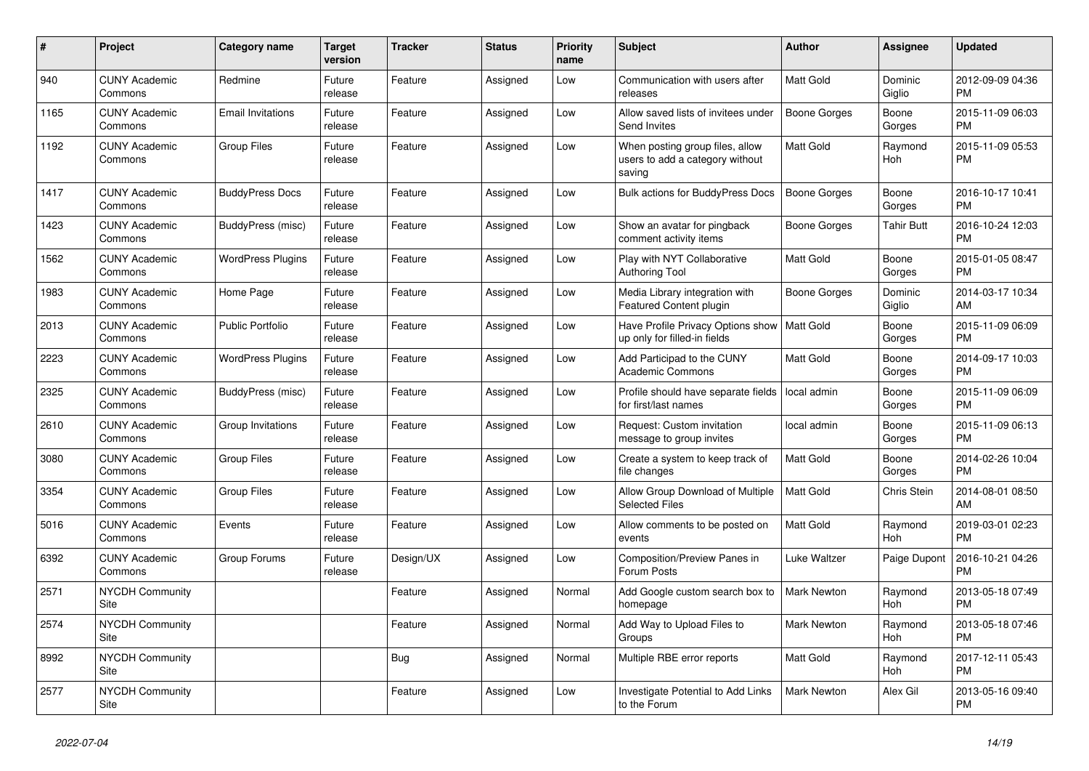| #    | <b>Project</b>                  | Category name            | Target<br>version | <b>Tracker</b> | <b>Status</b> | <b>Priority</b><br>name | <b>Subject</b>                                                               | <b>Author</b>      | Assignee          | <b>Updated</b>                |
|------|---------------------------------|--------------------------|-------------------|----------------|---------------|-------------------------|------------------------------------------------------------------------------|--------------------|-------------------|-------------------------------|
| 940  | <b>CUNY Academic</b><br>Commons | Redmine                  | Future<br>release | Feature        | Assigned      | Low                     | Communication with users after<br>releases                                   | Matt Gold          | Dominic<br>Giglio | 2012-09-09 04:36<br><b>PM</b> |
| 1165 | <b>CUNY Academic</b><br>Commons | <b>Email Invitations</b> | Future<br>release | Feature        | Assigned      | Low                     | Allow saved lists of invitees under<br>Send Invites                          | Boone Gorges       | Boone<br>Gorges   | 2015-11-09 06:03<br>PM.       |
| 1192 | <b>CUNY Academic</b><br>Commons | <b>Group Files</b>       | Future<br>release | Feature        | Assigned      | Low                     | When posting group files, allow<br>users to add a category without<br>saving | Matt Gold          | Raymond<br>Hoh    | 2015-11-09 05:53<br><b>PM</b> |
| 1417 | <b>CUNY Academic</b><br>Commons | <b>BuddyPress Docs</b>   | Future<br>release | Feature        | Assigned      | Low                     | <b>Bulk actions for BuddyPress Docs</b>                                      | Boone Gorges       | Boone<br>Gorges   | 2016-10-17 10:41<br><b>PM</b> |
| 1423 | <b>CUNY Academic</b><br>Commons | BuddyPress (misc)        | Future<br>release | Feature        | Assigned      | Low                     | Show an avatar for pingback<br>comment activity items                        | Boone Gorges       | Tahir Butt        | 2016-10-24 12:03<br><b>PM</b> |
| 1562 | <b>CUNY Academic</b><br>Commons | <b>WordPress Plugins</b> | Future<br>release | Feature        | Assigned      | Low                     | Play with NYT Collaborative<br><b>Authoring Tool</b>                         | Matt Gold          | Boone<br>Gorges   | 2015-01-05 08:47<br><b>PM</b> |
| 1983 | <b>CUNY Academic</b><br>Commons | Home Page                | Future<br>release | Feature        | Assigned      | Low                     | Media Library integration with<br><b>Featured Content plugin</b>             | Boone Gorges       | Dominic<br>Giglio | 2014-03-17 10:34<br>AM        |
| 2013 | <b>CUNY Academic</b><br>Commons | <b>Public Portfolio</b>  | Future<br>release | Feature        | Assigned      | Low                     | Have Profile Privacy Options show<br>up only for filled-in fields            | <b>Matt Gold</b>   | Boone<br>Gorges   | 2015-11-09 06:09<br><b>PM</b> |
| 2223 | <b>CUNY Academic</b><br>Commons | <b>WordPress Plugins</b> | Future<br>release | Feature        | Assigned      | Low                     | Add Participad to the CUNY<br><b>Academic Commons</b>                        | Matt Gold          | Boone<br>Gorges   | 2014-09-17 10:03<br><b>PM</b> |
| 2325 | <b>CUNY Academic</b><br>Commons | BuddyPress (misc)        | Future<br>release | Feature        | Assigned      | Low                     | Profile should have separate fields<br>for first/last names                  | local admin        | Boone<br>Gorges   | 2015-11-09 06:09<br><b>PM</b> |
| 2610 | <b>CUNY Academic</b><br>Commons | Group Invitations        | Future<br>release | Feature        | Assigned      | Low                     | Request: Custom invitation<br>message to group invites                       | local admin        | Boone<br>Gorges   | 2015-11-09 06:13<br><b>PM</b> |
| 3080 | <b>CUNY Academic</b><br>Commons | <b>Group Files</b>       | Future<br>release | Feature        | Assigned      | Low                     | Create a system to keep track of<br>file changes                             | <b>Matt Gold</b>   | Boone<br>Gorges   | 2014-02-26 10:04<br><b>PM</b> |
| 3354 | <b>CUNY Academic</b><br>Commons | <b>Group Files</b>       | Future<br>release | Feature        | Assigned      | Low                     | Allow Group Download of Multiple<br><b>Selected Files</b>                    | Matt Gold          | Chris Stein       | 2014-08-01 08:50<br>AM        |
| 5016 | <b>CUNY Academic</b><br>Commons | Events                   | Future<br>release | Feature        | Assigned      | Low                     | Allow comments to be posted on<br>events                                     | Matt Gold          | Raymond<br>Hoh    | 2019-03-01 02:23<br><b>PM</b> |
| 6392 | <b>CUNY Academic</b><br>Commons | Group Forums             | Future<br>release | Design/UX      | Assigned      | Low                     | Composition/Preview Panes in<br>Forum Posts                                  | Luke Waltzer       | Paige Dupont      | 2016-10-21 04:26<br><b>PM</b> |
| 2571 | NYCDH Community<br>Site         |                          |                   | Feature        | Assigned      | Normal                  | Add Google custom search box to<br>homepage                                  | Mark Newton        | Raymond<br>Hoh    | 2013-05-18 07:49<br><b>PM</b> |
| 2574 | <b>NYCDH Community</b><br>Site  |                          |                   | Feature        | Assigned      | Normal                  | Add Way to Upload Files to<br>Groups                                         | <b>Mark Newton</b> | Raymond<br>Hoh    | 2013-05-18 07:46<br><b>PM</b> |
| 8992 | <b>NYCDH Community</b><br>Site  |                          |                   | Bug            | Assigned      | Normal                  | Multiple RBE error reports                                                   | Matt Gold          | Raymond<br>Hoh    | 2017-12-11 05:43<br><b>PM</b> |
| 2577 | NYCDH Community<br>Site         |                          |                   | Feature        | Assigned      | Low                     | Investigate Potential to Add Links<br>to the Forum                           | <b>Mark Newton</b> | Alex Gil          | 2013-05-16 09:40<br><b>PM</b> |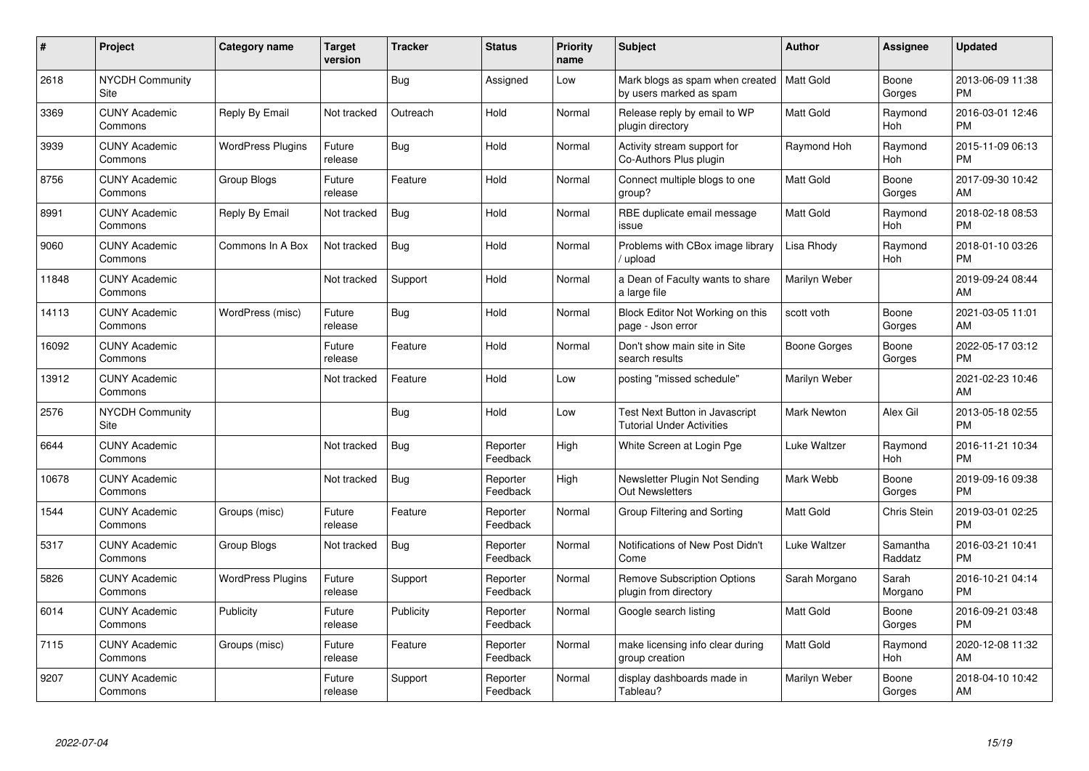| #     | Project                         | <b>Category name</b>     | <b>Target</b><br>version | <b>Tracker</b> | <b>Status</b>        | <b>Priority</b><br>name | <b>Subject</b>                                                         | <b>Author</b>      | <b>Assignee</b>     | <b>Updated</b>                |
|-------|---------------------------------|--------------------------|--------------------------|----------------|----------------------|-------------------------|------------------------------------------------------------------------|--------------------|---------------------|-------------------------------|
| 2618  | <b>NYCDH Community</b><br>Site  |                          |                          | Bug            | Assigned             | Low                     | Mark blogs as spam when created   Matt Gold<br>by users marked as spam |                    | Boone<br>Gorges     | 2013-06-09 11:38<br><b>PM</b> |
| 3369  | <b>CUNY Academic</b><br>Commons | Reply By Email           | Not tracked              | Outreach       | Hold                 | Normal                  | Release reply by email to WP<br>plugin directory                       | <b>Matt Gold</b>   | Raymond<br>Hoh      | 2016-03-01 12:46<br><b>PM</b> |
| 3939  | <b>CUNY Academic</b><br>Commons | <b>WordPress Plugins</b> | Future<br>release        | <b>Bug</b>     | Hold                 | Normal                  | Activity stream support for<br>Co-Authors Plus plugin                  | Raymond Hoh        | Raymond<br>Hoh      | 2015-11-09 06:13<br><b>PM</b> |
| 8756  | <b>CUNY Academic</b><br>Commons | Group Blogs              | Future<br>release        | Feature        | Hold                 | Normal                  | Connect multiple blogs to one<br>group?                                | <b>Matt Gold</b>   | Boone<br>Gorges     | 2017-09-30 10:42<br>AM        |
| 8991  | <b>CUNY Academic</b><br>Commons | Reply By Email           | Not tracked              | Bug            | Hold                 | Normal                  | RBE duplicate email message<br>issue                                   | <b>Matt Gold</b>   | Raymond<br>Hoh      | 2018-02-18 08:53<br><b>PM</b> |
| 9060  | <b>CUNY Academic</b><br>Commons | Commons In A Box         | Not tracked              | Bug            | Hold                 | Normal                  | Problems with CBox image library<br>upload                             | Lisa Rhody         | Raymond<br>Hoh      | 2018-01-10 03:26<br><b>PM</b> |
| 11848 | <b>CUNY Academic</b><br>Commons |                          | Not tracked              | Support        | Hold                 | Normal                  | a Dean of Faculty wants to share<br>a large file                       | Marilyn Weber      |                     | 2019-09-24 08:44<br>AM        |
| 14113 | <b>CUNY Academic</b><br>Commons | WordPress (misc)         | Future<br>release        | Bug            | Hold                 | Normal                  | Block Editor Not Working on this<br>page - Json error                  | scott voth         | Boone<br>Gorges     | 2021-03-05 11:01<br>AM        |
| 16092 | <b>CUNY Academic</b><br>Commons |                          | Future<br>release        | Feature        | Hold                 | Normal                  | Don't show main site in Site<br>search results                         | Boone Gorges       | Boone<br>Gorges     | 2022-05-17 03:12<br><b>PM</b> |
| 13912 | <b>CUNY Academic</b><br>Commons |                          | Not tracked              | Feature        | Hold                 | Low                     | posting "missed schedule"                                              | Marilyn Weber      |                     | 2021-02-23 10:46<br>AM        |
| 2576  | <b>NYCDH Community</b><br>Site  |                          |                          | Bug            | Hold                 | Low                     | Test Next Button in Javascript<br><b>Tutorial Under Activities</b>     | <b>Mark Newton</b> | Alex Gil            | 2013-05-18 02:55<br><b>PM</b> |
| 6644  | <b>CUNY Academic</b><br>Commons |                          | Not tracked              | Bug            | Reporter<br>Feedback | High                    | White Screen at Login Pge                                              | Luke Waltzer       | Raymond<br>Hoh      | 2016-11-21 10:34<br><b>PM</b> |
| 10678 | <b>CUNY Academic</b><br>Commons |                          | Not tracked              | Bug            | Reporter<br>Feedback | High                    | Newsletter Plugin Not Sending<br><b>Out Newsletters</b>                | Mark Webb          | Boone<br>Gorges     | 2019-09-16 09:38<br><b>PM</b> |
| 1544  | <b>CUNY Academic</b><br>Commons | Groups (misc)            | Future<br>release        | Feature        | Reporter<br>Feedback | Normal                  | Group Filtering and Sorting                                            | <b>Matt Gold</b>   | Chris Stein         | 2019-03-01 02:25<br><b>PM</b> |
| 5317  | <b>CUNY Academic</b><br>Commons | Group Blogs              | Not tracked              | Bug            | Reporter<br>Feedback | Normal                  | Notifications of New Post Didn't<br>Come                               | Luke Waltzer       | Samantha<br>Raddatz | 2016-03-21 10:41<br><b>PM</b> |
| 5826  | <b>CUNY Academic</b><br>Commons | <b>WordPress Plugins</b> | Future<br>release        | Support        | Reporter<br>Feedback | Normal                  | <b>Remove Subscription Options</b><br>plugin from directory            | Sarah Morgano      | Sarah<br>Morgano    | 2016-10-21 04:14<br><b>PM</b> |
| 6014  | <b>CUNY Academic</b><br>Commons | Publicity                | Future<br>release        | Publicity      | Reporter<br>Feedback | Normal                  | Google search listing                                                  | <b>Matt Gold</b>   | Boone<br>Gorges     | 2016-09-21 03:48<br><b>PM</b> |
| 7115  | <b>CUNY Academic</b><br>Commons | Groups (misc)            | Future<br>release        | Feature        | Reporter<br>Feedback | Normal                  | make licensing info clear during<br>group creation                     | <b>Matt Gold</b>   | Raymond<br>Hoh      | 2020-12-08 11:32<br>AM        |
| 9207  | <b>CUNY Academic</b><br>Commons |                          | Future<br>release        | Support        | Reporter<br>Feedback | Normal                  | display dashboards made in<br>Tableau?                                 | Marilyn Weber      | Boone<br>Gorges     | 2018-04-10 10:42<br>AM        |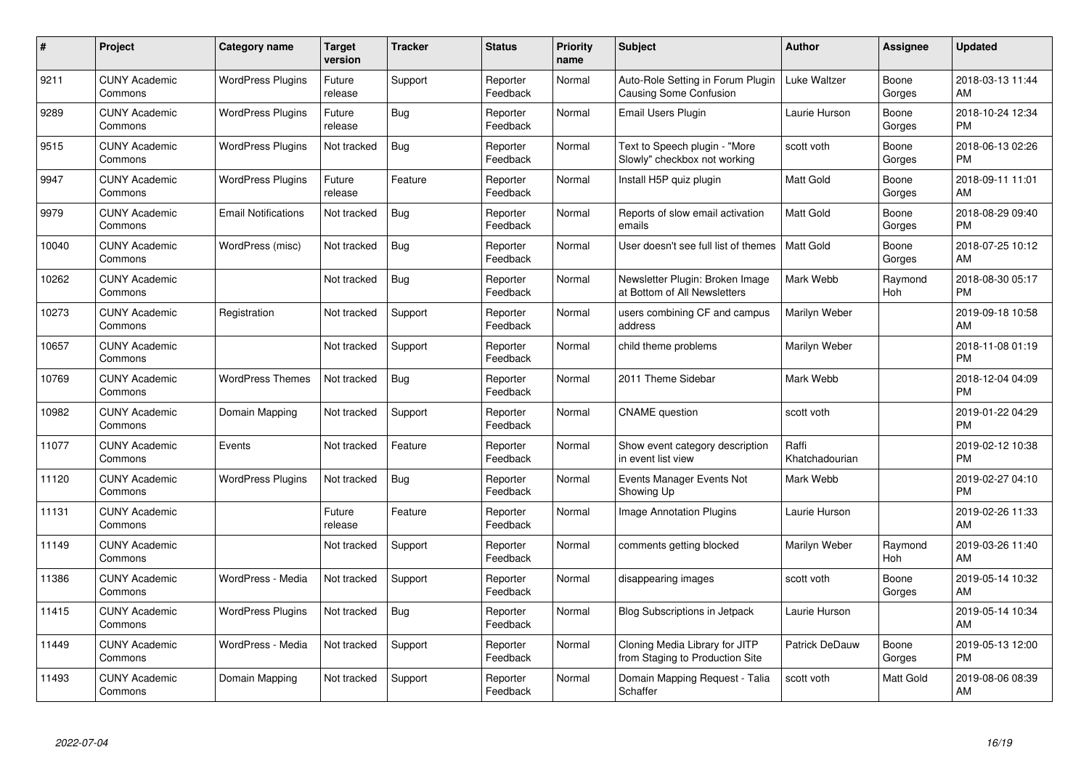| $\pmb{\#}$ | Project                         | <b>Category name</b>       | <b>Target</b><br>version | <b>Tracker</b> | <b>Status</b>        | <b>Priority</b><br>name | <b>Subject</b>                                                     | <b>Author</b>           | Assignee         | <b>Updated</b>                |
|------------|---------------------------------|----------------------------|--------------------------|----------------|----------------------|-------------------------|--------------------------------------------------------------------|-------------------------|------------------|-------------------------------|
| 9211       | <b>CUNY Academic</b><br>Commons | <b>WordPress Plugins</b>   | Future<br>release        | Support        | Reporter<br>Feedback | Normal                  | Auto-Role Setting in Forum Plugin<br><b>Causing Some Confusion</b> | Luke Waltzer            | Boone<br>Gorges  | 2018-03-13 11:44<br>AM        |
| 9289       | <b>CUNY Academic</b><br>Commons | <b>WordPress Plugins</b>   | Future<br>release        | Bug            | Reporter<br>Feedback | Normal                  | Email Users Plugin                                                 | Laurie Hurson           | Boone<br>Gorges  | 2018-10-24 12:34<br><b>PM</b> |
| 9515       | <b>CUNY Academic</b><br>Commons | <b>WordPress Plugins</b>   | Not tracked              | <b>Bug</b>     | Reporter<br>Feedback | Normal                  | Text to Speech plugin - "More<br>Slowly" checkbox not working      | scott voth              | Boone<br>Gorges  | 2018-06-13 02:26<br><b>PM</b> |
| 9947       | <b>CUNY Academic</b><br>Commons | <b>WordPress Plugins</b>   | Future<br>release        | Feature        | Reporter<br>Feedback | Normal                  | Install H5P quiz plugin                                            | <b>Matt Gold</b>        | Boone<br>Gorges  | 2018-09-11 11:01<br>AM        |
| 9979       | <b>CUNY Academic</b><br>Commons | <b>Email Notifications</b> | Not tracked              | <b>Bug</b>     | Reporter<br>Feedback | Normal                  | Reports of slow email activation<br>emails                         | <b>Matt Gold</b>        | Boone<br>Gorges  | 2018-08-29 09:40<br><b>PM</b> |
| 10040      | <b>CUNY Academic</b><br>Commons | WordPress (misc)           | Not tracked              | Bug            | Reporter<br>Feedback | Normal                  | User doesn't see full list of themes                               | <b>Matt Gold</b>        | Boone<br>Gorges  | 2018-07-25 10:12<br>AM        |
| 10262      | <b>CUNY Academic</b><br>Commons |                            | Not tracked              | <b>Bug</b>     | Reporter<br>Feedback | Normal                  | Newsletter Plugin: Broken Image<br>at Bottom of All Newsletters    | Mark Webb               | Raymond<br>Hoh   | 2018-08-30 05:17<br><b>PM</b> |
| 10273      | <b>CUNY Academic</b><br>Commons | Registration               | Not tracked              | Support        | Reporter<br>Feedback | Normal                  | users combining CF and campus<br>address                           | Marilyn Weber           |                  | 2019-09-18 10:58<br>AM        |
| 10657      | <b>CUNY Academic</b><br>Commons |                            | Not tracked              | Support        | Reporter<br>Feedback | Normal                  | child theme problems                                               | Marilyn Weber           |                  | 2018-11-08 01:19<br><b>PM</b> |
| 10769      | <b>CUNY Academic</b><br>Commons | <b>WordPress Themes</b>    | Not tracked              | Bug            | Reporter<br>Feedback | Normal                  | 2011 Theme Sidebar                                                 | Mark Webb               |                  | 2018-12-04 04:09<br><b>PM</b> |
| 10982      | <b>CUNY Academic</b><br>Commons | Domain Mapping             | Not tracked              | Support        | Reporter<br>Feedback | Normal                  | <b>CNAME</b> question                                              | scott voth              |                  | 2019-01-22 04:29<br><b>PM</b> |
| 11077      | <b>CUNY Academic</b><br>Commons | Events                     | Not tracked              | Feature        | Reporter<br>Feedback | Normal                  | Show event category description<br>in event list view              | Raffi<br>Khatchadourian |                  | 2019-02-12 10:38<br><b>PM</b> |
| 11120      | <b>CUNY Academic</b><br>Commons | <b>WordPress Plugins</b>   | Not tracked              | <b>Bug</b>     | Reporter<br>Feedback | Normal                  | Events Manager Events Not<br>Showing Up                            | Mark Webb               |                  | 2019-02-27 04:10<br><b>PM</b> |
| 11131      | <b>CUNY Academic</b><br>Commons |                            | Future<br>release        | Feature        | Reporter<br>Feedback | Normal                  | <b>Image Annotation Plugins</b>                                    | Laurie Hurson           |                  | 2019-02-26 11:33<br>AM        |
| 11149      | <b>CUNY Academic</b><br>Commons |                            | Not tracked              | Support        | Reporter<br>Feedback | Normal                  | comments getting blocked                                           | Marilyn Weber           | Raymond<br>Hoh   | 2019-03-26 11:40<br>AM        |
| 11386      | <b>CUNY Academic</b><br>Commons | WordPress - Media          | Not tracked              | Support        | Reporter<br>Feedback | Normal                  | disappearing images                                                | scott voth              | Boone<br>Gorges  | 2019-05-14 10:32<br>AM        |
| 11415      | <b>CUNY Academic</b><br>Commons | <b>WordPress Plugins</b>   | Not tracked              | Bug            | Reporter<br>Feedback | Normal                  | <b>Blog Subscriptions in Jetpack</b>                               | Laurie Hurson           |                  | 2019-05-14 10:34<br>AM        |
| 11449      | <b>CUNY Academic</b><br>Commons | WordPress - Media          | Not tracked              | Support        | Reporter<br>Feedback | Normal                  | Cloning Media Library for JITP<br>from Staging to Production Site  | Patrick DeDauw          | Boone<br>Gorges  | 2019-05-13 12:00<br><b>PM</b> |
| 11493      | CUNY Academic<br>Commons        | Domain Mapping             | Not tracked              | Support        | Reporter<br>Feedback | Normal                  | Domain Mapping Request - Talia<br>Schaffer                         | scott voth              | <b>Matt Gold</b> | 2019-08-06 08:39<br>AM        |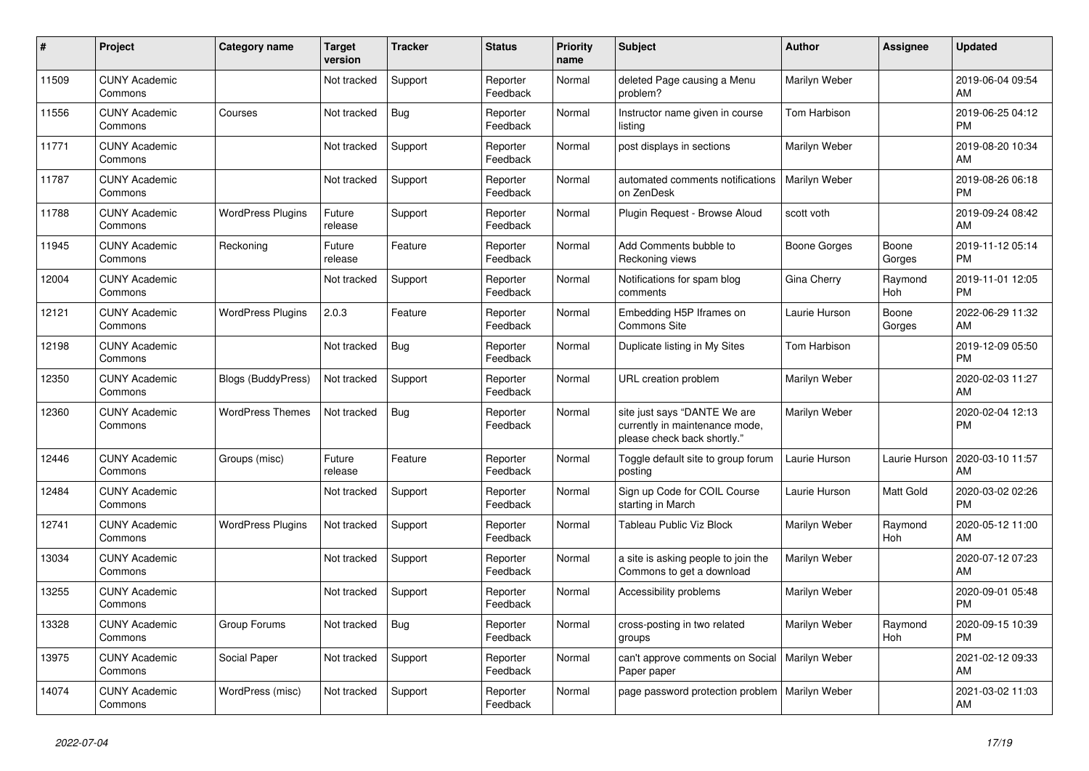| #     | Project                         | <b>Category name</b>     | <b>Target</b><br>version | <b>Tracker</b> | <b>Status</b>        | <b>Priority</b><br>name | <b>Subject</b>                                                                                | <b>Author</b> | <b>Assignee</b> | <b>Updated</b>                |
|-------|---------------------------------|--------------------------|--------------------------|----------------|----------------------|-------------------------|-----------------------------------------------------------------------------------------------|---------------|-----------------|-------------------------------|
| 11509 | <b>CUNY Academic</b><br>Commons |                          | Not tracked              | Support        | Reporter<br>Feedback | Normal                  | deleted Page causing a Menu<br>problem?                                                       | Marilyn Weber |                 | 2019-06-04 09:54<br>AM        |
| 11556 | <b>CUNY Academic</b><br>Commons | Courses                  | Not tracked              | Bug            | Reporter<br>Feedback | Normal                  | Instructor name given in course<br>listing                                                    | Tom Harbison  |                 | 2019-06-25 04:12<br><b>PM</b> |
| 11771 | <b>CUNY Academic</b><br>Commons |                          | Not tracked              | Support        | Reporter<br>Feedback | Normal                  | post displays in sections                                                                     | Marilyn Weber |                 | 2019-08-20 10:34<br>AM        |
| 11787 | <b>CUNY Academic</b><br>Commons |                          | Not tracked              | Support        | Reporter<br>Feedback | Normal                  | automated comments notifications<br>on ZenDesk                                                | Marilyn Weber |                 | 2019-08-26 06:18<br><b>PM</b> |
| 11788 | <b>CUNY Academic</b><br>Commons | <b>WordPress Plugins</b> | Future<br>release        | Support        | Reporter<br>Feedback | Normal                  | Plugin Request - Browse Aloud                                                                 | scott voth    |                 | 2019-09-24 08:42<br>AM        |
| 11945 | <b>CUNY Academic</b><br>Commons | Reckoning                | Future<br>release        | Feature        | Reporter<br>Feedback | Normal                  | Add Comments bubble to<br>Reckoning views                                                     | Boone Gorges  | Boone<br>Gorges | 2019-11-12 05:14<br><b>PM</b> |
| 12004 | <b>CUNY Academic</b><br>Commons |                          | Not tracked              | Support        | Reporter<br>Feedback | Normal                  | Notifications for spam blog<br>comments                                                       | Gina Cherry   | Raymond<br>Hoh  | 2019-11-01 12:05<br><b>PM</b> |
| 12121 | <b>CUNY Academic</b><br>Commons | <b>WordPress Plugins</b> | 2.0.3                    | Feature        | Reporter<br>Feedback | Normal                  | Embedding H5P Iframes on<br><b>Commons Site</b>                                               | Laurie Hurson | Boone<br>Gorges | 2022-06-29 11:32<br>AM        |
| 12198 | <b>CUNY Academic</b><br>Commons |                          | Not tracked              | <b>Bug</b>     | Reporter<br>Feedback | Normal                  | Duplicate listing in My Sites                                                                 | Tom Harbison  |                 | 2019-12-09 05:50<br><b>PM</b> |
| 12350 | <b>CUNY Academic</b><br>Commons | Blogs (BuddyPress)       | Not tracked              | Support        | Reporter<br>Feedback | Normal                  | URL creation problem                                                                          | Marilyn Weber |                 | 2020-02-03 11:27<br>AM        |
| 12360 | <b>CUNY Academic</b><br>Commons | <b>WordPress Themes</b>  | Not tracked              | Bug            | Reporter<br>Feedback | Normal                  | site just says "DANTE We are<br>currently in maintenance mode,<br>please check back shortly." | Marilyn Weber |                 | 2020-02-04 12:13<br><b>PM</b> |
| 12446 | <b>CUNY Academic</b><br>Commons | Groups (misc)            | Future<br>release        | Feature        | Reporter<br>Feedback | Normal                  | Toggle default site to group forum<br>posting                                                 | Laurie Hurson | Laurie Hurson   | 2020-03-10 11:57<br>AM        |
| 12484 | <b>CUNY Academic</b><br>Commons |                          | Not tracked              | Support        | Reporter<br>Feedback | Normal                  | Sign up Code for COIL Course<br>starting in March                                             | Laurie Hurson | Matt Gold       | 2020-03-02 02:26<br><b>PM</b> |
| 12741 | <b>CUNY Academic</b><br>Commons | <b>WordPress Plugins</b> | Not tracked              | Support        | Reporter<br>Feedback | Normal                  | Tableau Public Viz Block                                                                      | Marilyn Weber | Raymond<br>Hoh  | 2020-05-12 11:00<br>AM        |
| 13034 | <b>CUNY Academic</b><br>Commons |                          | Not tracked              | Support        | Reporter<br>Feedback | Normal                  | a site is asking people to join the<br>Commons to get a download                              | Marilyn Weber |                 | 2020-07-12 07:23<br>AM        |
| 13255 | <b>CUNY Academic</b><br>Commons |                          | Not tracked              | Support        | Reporter<br>Feedback | Normal                  | Accessibility problems                                                                        | Marilyn Weber |                 | 2020-09-01 05:48<br><b>PM</b> |
| 13328 | <b>CUNY Academic</b><br>Commons | Group Forums             | Not tracked              | Bug            | Reporter<br>Feedback | Normal                  | cross-posting in two related<br>groups                                                        | Marilyn Weber | Raymond<br>Hoh  | 2020-09-15 10:39<br><b>PM</b> |
| 13975 | <b>CUNY Academic</b><br>Commons | Social Paper             | Not tracked              | Support        | Reporter<br>Feedback | Normal                  | can't approve comments on Social<br>Paper paper                                               | Marilyn Weber |                 | 2021-02-12 09:33<br>AM        |
| 14074 | <b>CUNY Academic</b><br>Commons | WordPress (misc)         | Not tracked              | Support        | Reporter<br>Feedback | Normal                  | page password protection problem                                                              | Marilyn Weber |                 | 2021-03-02 11:03<br>AM        |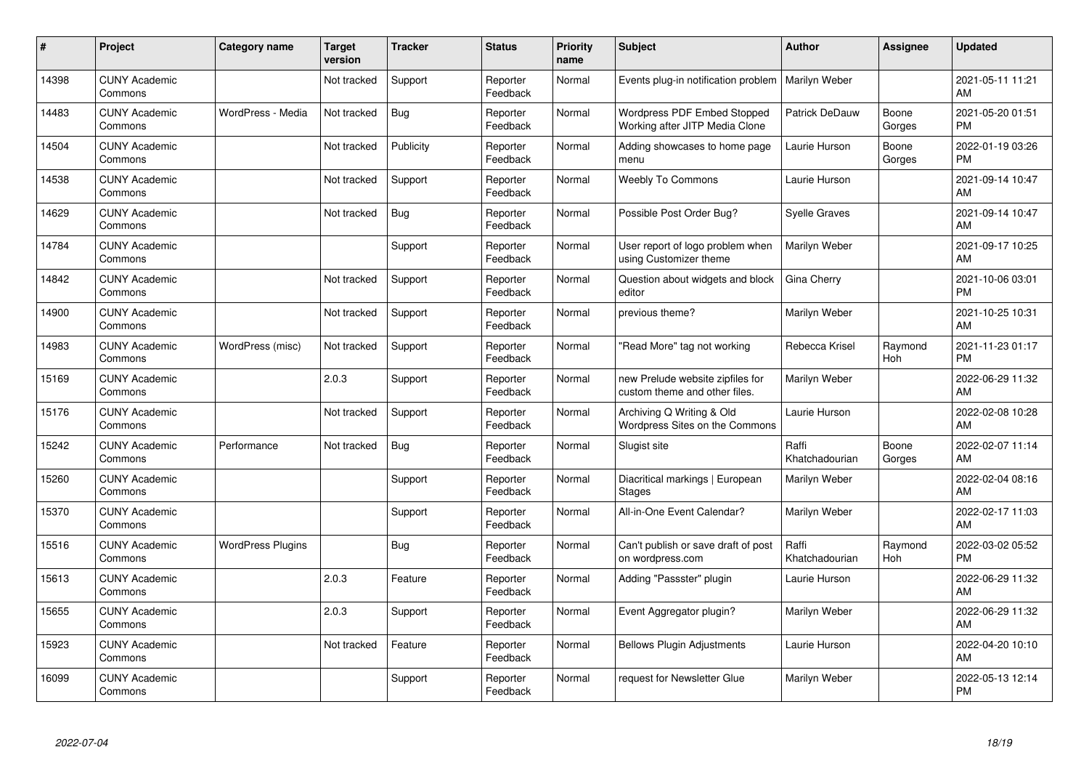| ∦     | Project                         | Category name            | <b>Target</b><br>version | <b>Tracker</b> | <b>Status</b>        | <b>Priority</b><br>name | <b>Subject</b>                                                    | <b>Author</b>           | Assignee        | <b>Updated</b>                |
|-------|---------------------------------|--------------------------|--------------------------|----------------|----------------------|-------------------------|-------------------------------------------------------------------|-------------------------|-----------------|-------------------------------|
| 14398 | <b>CUNY Academic</b><br>Commons |                          | Not tracked              | Support        | Reporter<br>Feedback | Normal                  | Events plug-in notification problem                               | Marilyn Weber           |                 | 2021-05-11 11:21<br>AM        |
| 14483 | <b>CUNY Academic</b><br>Commons | WordPress - Media        | Not tracked              | Bug            | Reporter<br>Feedback | Normal                  | Wordpress PDF Embed Stopped<br>Working after JITP Media Clone     | <b>Patrick DeDauw</b>   | Boone<br>Gorges | 2021-05-20 01:51<br><b>PM</b> |
| 14504 | <b>CUNY Academic</b><br>Commons |                          | Not tracked              | Publicity      | Reporter<br>Feedback | Normal                  | Adding showcases to home page<br>menu                             | Laurie Hurson           | Boone<br>Gorges | 2022-01-19 03:26<br><b>PM</b> |
| 14538 | <b>CUNY Academic</b><br>Commons |                          | Not tracked              | Support        | Reporter<br>Feedback | Normal                  | <b>Weebly To Commons</b>                                          | Laurie Hurson           |                 | 2021-09-14 10:47<br><b>AM</b> |
| 14629 | <b>CUNY Academic</b><br>Commons |                          | Not tracked              | Bug            | Reporter<br>Feedback | Normal                  | Possible Post Order Bug?                                          | <b>Syelle Graves</b>    |                 | 2021-09-14 10:47<br><b>AM</b> |
| 14784 | <b>CUNY Academic</b><br>Commons |                          |                          | Support        | Reporter<br>Feedback | Normal                  | User report of logo problem when<br>using Customizer theme        | <b>Marilyn Weber</b>    |                 | 2021-09-17 10:25<br><b>AM</b> |
| 14842 | <b>CUNY Academic</b><br>Commons |                          | Not tracked              | Support        | Reporter<br>Feedback | Normal                  | Question about widgets and block<br>editor                        | Gina Cherry             |                 | 2021-10-06 03:01<br><b>PM</b> |
| 14900 | <b>CUNY Academic</b><br>Commons |                          | Not tracked              | Support        | Reporter<br>Feedback | Normal                  | previous theme?                                                   | Marilyn Weber           |                 | 2021-10-25 10:31<br>AM        |
| 14983 | <b>CUNY Academic</b><br>Commons | WordPress (misc)         | Not tracked              | Support        | Reporter<br>Feedback | Normal                  | "Read More" tag not working                                       | Rebecca Krisel          | Raymond<br>Hoh  | 2021-11-23 01:17<br><b>PM</b> |
| 15169 | <b>CUNY Academic</b><br>Commons |                          | 2.0.3                    | Support        | Reporter<br>Feedback | Normal                  | new Prelude website zipfiles for<br>custom theme and other files. | Marilyn Weber           |                 | 2022-06-29 11:32<br>AM        |
| 15176 | <b>CUNY Academic</b><br>Commons |                          | Not tracked              | Support        | Reporter<br>Feedback | Normal                  | Archiving Q Writing & Old<br>Wordpress Sites on the Commons       | Laurie Hurson           |                 | 2022-02-08 10:28<br>AM        |
| 15242 | <b>CUNY Academic</b><br>Commons | Performance              | Not tracked              | Bug            | Reporter<br>Feedback | Normal                  | Slugist site                                                      | Raffi<br>Khatchadourian | Boone<br>Gorges | 2022-02-07 11:14<br><b>AM</b> |
| 15260 | <b>CUNY Academic</b><br>Commons |                          |                          | Support        | Reporter<br>Feedback | Normal                  | Diacritical markings   European<br><b>Stages</b>                  | Marilyn Weber           |                 | 2022-02-04 08:16<br><b>AM</b> |
| 15370 | <b>CUNY Academic</b><br>Commons |                          |                          | Support        | Reporter<br>Feedback | Normal                  | All-in-One Event Calendar?                                        | Marilyn Weber           |                 | 2022-02-17 11:03<br>AM        |
| 15516 | <b>CUNY Academic</b><br>Commons | <b>WordPress Plugins</b> |                          | Bug            | Reporter<br>Feedback | Normal                  | Can't publish or save draft of post<br>on wordpress.com           | Raffi<br>Khatchadourian | Raymond<br>Hoh  | 2022-03-02 05:52<br><b>PM</b> |
| 15613 | <b>CUNY Academic</b><br>Commons |                          | 2.0.3                    | Feature        | Reporter<br>Feedback | Normal                  | Adding "Passster" plugin                                          | Laurie Hurson           |                 | 2022-06-29 11:32<br>AM        |
| 15655 | <b>CUNY Academic</b><br>Commons |                          | 2.0.3                    | Support        | Reporter<br>Feedback | Normal                  | Event Aggregator plugin?                                          | Marilyn Weber           |                 | 2022-06-29 11:32<br>AM        |
| 15923 | <b>CUNY Academic</b><br>Commons |                          | Not tracked              | Feature        | Reporter<br>Feedback | Normal                  | <b>Bellows Plugin Adjustments</b>                                 | Laurie Hurson           |                 | 2022-04-20 10:10<br>AM        |
| 16099 | <b>CUNY Academic</b><br>Commons |                          |                          | Support        | Reporter<br>Feedback | Normal                  | request for Newsletter Glue                                       | Marilyn Weber           |                 | 2022-05-13 12:14<br>PM        |